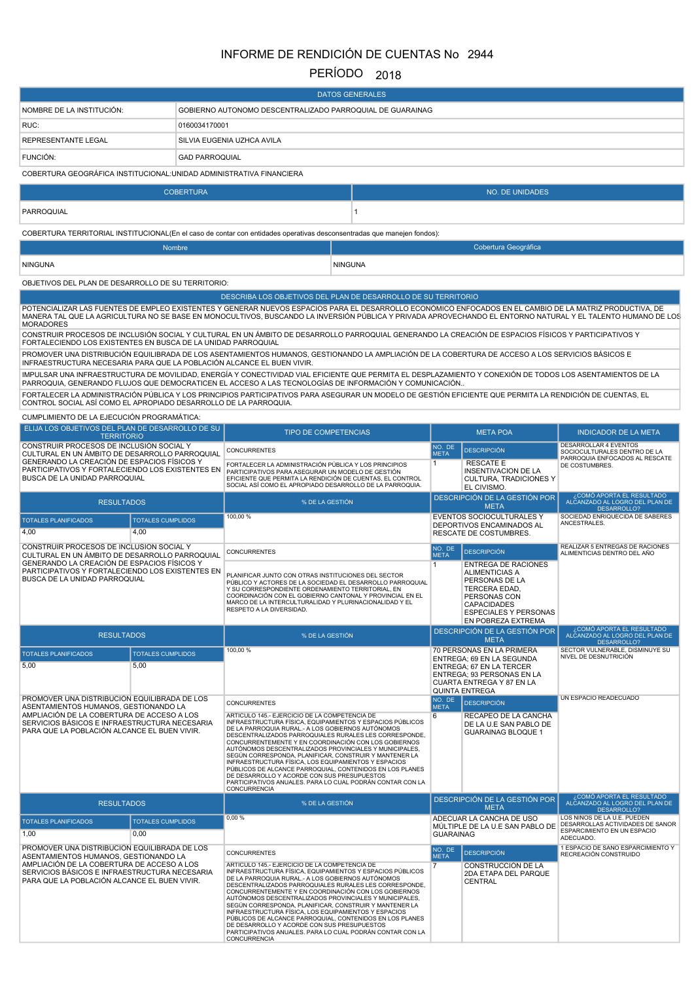# INFORME DE RENDICIÓN DE CUENTAS No 2944

## PERÍODO 2018

|                                                                                                                                                                                                                                                                                                                                      |                          |                                                                                                                                                                                                                                                                                                                                                                                                                                                                                                                                                                                                                                                       | <b>DATOS GENERALES</b> |                             |                                                                                                                                                                                           |                                                                                                                                                              |
|--------------------------------------------------------------------------------------------------------------------------------------------------------------------------------------------------------------------------------------------------------------------------------------------------------------------------------------|--------------------------|-------------------------------------------------------------------------------------------------------------------------------------------------------------------------------------------------------------------------------------------------------------------------------------------------------------------------------------------------------------------------------------------------------------------------------------------------------------------------------------------------------------------------------------------------------------------------------------------------------------------------------------------------------|------------------------|-----------------------------|-------------------------------------------------------------------------------------------------------------------------------------------------------------------------------------------|--------------------------------------------------------------------------------------------------------------------------------------------------------------|
| NOMBRE DE LA INSTITUCIÓN:                                                                                                                                                                                                                                                                                                            |                          | GOBIERNO AUTONOMO DESCENTRALIZADO PARROQUIAL DE GUARAINAG                                                                                                                                                                                                                                                                                                                                                                                                                                                                                                                                                                                             |                        |                             |                                                                                                                                                                                           |                                                                                                                                                              |
| RUC:                                                                                                                                                                                                                                                                                                                                 | 0160034170001            |                                                                                                                                                                                                                                                                                                                                                                                                                                                                                                                                                                                                                                                       |                        |                             |                                                                                                                                                                                           |                                                                                                                                                              |
| REPRESENTANTE LEGAL                                                                                                                                                                                                                                                                                                                  |                          | SILVIA EUGENIA UZHCA AVILA                                                                                                                                                                                                                                                                                                                                                                                                                                                                                                                                                                                                                            |                        |                             |                                                                                                                                                                                           |                                                                                                                                                              |
| FUNCIÓN:                                                                                                                                                                                                                                                                                                                             | <b>GAD PARROQUIAL</b>    |                                                                                                                                                                                                                                                                                                                                                                                                                                                                                                                                                                                                                                                       |                        |                             |                                                                                                                                                                                           |                                                                                                                                                              |
| COBERTURA GEOGRÁFICA INSTITUCIONAL: UNIDAD ADMINISTRATIVA FINANCIERA                                                                                                                                                                                                                                                                 |                          |                                                                                                                                                                                                                                                                                                                                                                                                                                                                                                                                                                                                                                                       |                        |                             |                                                                                                                                                                                           |                                                                                                                                                              |
|                                                                                                                                                                                                                                                                                                                                      | <b>COBERTURA</b>         |                                                                                                                                                                                                                                                                                                                                                                                                                                                                                                                                                                                                                                                       |                        |                             | <b>NO. DE UNIDADES</b>                                                                                                                                                                    |                                                                                                                                                              |
| PARROQUIAL                                                                                                                                                                                                                                                                                                                           |                          |                                                                                                                                                                                                                                                                                                                                                                                                                                                                                                                                                                                                                                                       | $\mathbf{1}$           |                             |                                                                                                                                                                                           |                                                                                                                                                              |
| COBERTURA TERRITORIAL INSTITUCIONAL(En el caso de contar con entidades operativas desconsentradas que manejen fondos):                                                                                                                                                                                                               |                          |                                                                                                                                                                                                                                                                                                                                                                                                                                                                                                                                                                                                                                                       |                        |                             |                                                                                                                                                                                           |                                                                                                                                                              |
|                                                                                                                                                                                                                                                                                                                                      | Nombre                   |                                                                                                                                                                                                                                                                                                                                                                                                                                                                                                                                                                                                                                                       |                        |                             | Cobertura Geográfica                                                                                                                                                                      |                                                                                                                                                              |
| <b>NINGUNA</b>                                                                                                                                                                                                                                                                                                                       |                          |                                                                                                                                                                                                                                                                                                                                                                                                                                                                                                                                                                                                                                                       | <b>NINGUNA</b>         |                             |                                                                                                                                                                                           |                                                                                                                                                              |
| OBJETIVOS DEL PLAN DE DESARROLLO DE SU TERRITORIO:                                                                                                                                                                                                                                                                                   |                          |                                                                                                                                                                                                                                                                                                                                                                                                                                                                                                                                                                                                                                                       |                        |                             |                                                                                                                                                                                           |                                                                                                                                                              |
| POTENCIALIZAR LAS FUENTES DE EMPLEO EXISTENTES Y GENERAR NUEVOS ESPACIOS PARA EL DESARROLLO ECONÓMICO ENFOCADOS EN EL CAMBIO DE LA MATRIZ PRODUCTIVA, DE<br><b>MORADORES</b><br>CONSTRUIR PROCESOS DE INCLUSIÓN SOCIAL Y CULTURAL EN UN ÁMBITO DE DESARROLLO PARROQUIAL GENERANDO LA CREACIÓN DE ESPACIOS FÍSICOS Y PARTICIPATIVOS Y |                          | DESCRIBA LOS OBJETIVOS DEL PLAN DE DESARROLLO DE SU TERRITORIO                                                                                                                                                                                                                                                                                                                                                                                                                                                                                                                                                                                        |                        |                             |                                                                                                                                                                                           | MANERA TAL QUE LA AGRICULTURA NO SE BASE EN MONOCULTIVOS, BUSCANDO LA INVERSIÓN PÚBLICA Y PRIVADA APROVECHANDO EL ENTORNO NATURAL Y EL TALENTO HUMANO DE LOS |
| FORTALECIENDO LOS EXISTENTES EN BUSCA DE LA UNIDAD PARROQUIAL<br>PROMOVER UNA DISTRIBUCIÓN EQUILIBRADA DE LOS ASENTAMIENTOS HUMANOS, GESTIONANDO LA AMPLIACIÓN DE LA COBERTURA DE ACCESO A LOS SERVICIOS BÁSICOS E<br>INFRAESTRUCTURA NECESARIA PARA QUE LA POBLACIÓN ALCANCE EL BUEN VIVIR.                                         |                          |                                                                                                                                                                                                                                                                                                                                                                                                                                                                                                                                                                                                                                                       |                        |                             |                                                                                                                                                                                           |                                                                                                                                                              |
|                                                                                                                                                                                                                                                                                                                                      |                          | IMPULSAR UNA INFRAESTRUCTURA DE MOVILIDAD, ENERGÍA Y CONECTIVIDAD VIAL EFICIENTE QUE PERMITA EL DESPLAZAMIENTO Y CONEXIÓN DE TODOS LOS ASENTAMIENTOS DE LA<br>PARROQUIA, GENERANDO FLUJOS QUE DEMOCRATICEN EL ACCESO A LAS TECNOLOGÍAS DE INFORMACIÓN Y COMUNICACIÓN                                                                                                                                                                                                                                                                                                                                                                                  |                        |                             |                                                                                                                                                                                           |                                                                                                                                                              |
| CONTROL SOCIAL ASÍ COMO EL APROPIADO DESARROLLO DE LA PARROQUIA.                                                                                                                                                                                                                                                                     |                          | FORTALECER LA ADMINISTRACIÓN PÚBLICA Y LOS PRINCIPIOS PARTICIPATIVOS PARA ASEGURAR UN MODELO DE GESTIÓN EFICIENTE QUE PERMITA LA RENDICIÓN DE CUENTAS, EL                                                                                                                                                                                                                                                                                                                                                                                                                                                                                             |                        |                             |                                                                                                                                                                                           |                                                                                                                                                              |
| CUMPLIMIENTO DE LA EJECUCIÓN PROGRAMÁTICA:<br>ELIJA LOS OBJETIVOS DEL PLAN DE DESARROLLO DE SU                                                                                                                                                                                                                                       |                          | <b>TIPO DE COMPETENCIAS</b>                                                                                                                                                                                                                                                                                                                                                                                                                                                                                                                                                                                                                           |                        |                             | <b>META POA</b>                                                                                                                                                                           |                                                                                                                                                              |
| <b>TERRITORIO</b><br>CONSTRUIR PROCESOS DE INCLUSIÓN SOCIAL Y                                                                                                                                                                                                                                                                        |                          |                                                                                                                                                                                                                                                                                                                                                                                                                                                                                                                                                                                                                                                       |                        | NO. DE                      |                                                                                                                                                                                           | <b>INDICADOR DE LA META</b><br><b>DESARROLLAR 4 EVENTOS</b>                                                                                                  |
| CULTURAL EN UN ÁMBITO DE DESARROLLO PARROQUIAL<br>GENERANDO LA CREACIÓN DE ESPACIOS FÍSICOS Y                                                                                                                                                                                                                                        |                          | <b>CONCURRENTES</b>                                                                                                                                                                                                                                                                                                                                                                                                                                                                                                                                                                                                                                   |                        | <b>META</b><br>$\mathbf{1}$ | <b>DESCRIPCIÓN</b><br><b>RESCATE E</b>                                                                                                                                                    | SOCIOCULTURALES DENTRO DE LA<br>PARROQUIA ENFOCADOS AL RESCATE<br>DE COSTUMBRES.                                                                             |
| PARTICIPATIVOS Y FORTALECIENDO LOS EXISTENTES EN<br>BUSCA DE LA UNIDAD PARROQUIAL                                                                                                                                                                                                                                                    |                          | FORTALECER LA ADMINISTRACIÓN PÚBLICA Y LOS PRINCIPIOS<br>PARTICIPATIVOS PARA ASEGURAR UN MODELO DE GESTIÓN<br>EFICIENTE QUE PERMITA LA RENDICIÓN DE CUENTAS, EL CONTROL<br>SOCIAL ASÍ COMO EL APROPIADO DESARROLLO DE LA PARROQUIA.                                                                                                                                                                                                                                                                                                                                                                                                                   |                        |                             | <b>INSENTIVACION DE LA</b><br><b>CULTURA, TRADICIONES Y</b><br>EL CIVISMO.                                                                                                                |                                                                                                                                                              |
| <b>RESULTADOS</b>                                                                                                                                                                                                                                                                                                                    |                          | % DE LA GESTIÓN                                                                                                                                                                                                                                                                                                                                                                                                                                                                                                                                                                                                                                       |                        |                             | DESCRIPCIÓN DE LA GESTIÓN POR<br><b>META</b>                                                                                                                                              | ¿COMÓ APORTA EL RESULTADO<br>ALCANZADO AL LOGRO DEL PLAN DE<br><b>DESARROLLO?</b>                                                                            |
| <b>TOTALES PLANIFICADOS</b><br>4,00<br>4,00                                                                                                                                                                                                                                                                                          | <b>TOTALES CUMPLIDOS</b> | 100,00 %                                                                                                                                                                                                                                                                                                                                                                                                                                                                                                                                                                                                                                              |                        |                             | EVENTOS SOCIOCULTURALES Y<br>DEPORTIVOS ENCAMINADOS AL<br>RESCATE DE COSTUMBRES.                                                                                                          | SOCIEDAD ENRIQUECIDA DE SABERES<br>ANCESTRALES.                                                                                                              |
| CONSTRUIR PROCESOS DE INCLUSIÓN SOCIAL Y<br>CULTURAL EN UN ÁMBITO DE DESARROLLO PARROQUIAL                                                                                                                                                                                                                                           |                          | <b>CONCURRENTES</b>                                                                                                                                                                                                                                                                                                                                                                                                                                                                                                                                                                                                                                   |                        | NO. DE<br><b>META</b>       | <b>DESCRIPCIÓN</b>                                                                                                                                                                        | REALIZAR 5 ENTREGAS DE RACIONES<br>ALIMENTICIAS DENTRO DEL AÑO                                                                                               |
| GENERANDO LA CREACIÓN DE ESPACIOS FÍSICOS Y<br>PARTICIPATIVOS Y FORTALECIENDO LOS EXISTENTES EN<br>BUSCA DE LA UNIDAD PARROQUIAL                                                                                                                                                                                                     |                          | PLANIFICAR JUNTO CON OTRAS INSTITUCIONES DEL SECTOR<br>PÚBLICO Y ACTORES DE LA SOCIEDAD EL DESARROLLO PARROQUIAL<br>Y SU CORRESPONDIENTE ORDENAMIENTO TERRITORIAL, EN<br>COORDINACIÓN CON EL GOBIERNO CANTONAL Y PROVINCIAL EN EL<br>MARCO DE LA INTERCULTURALIDAD Y PLURINACIONALIDAD Y EL<br>RESPETO A LA DIVERSIDAD.                                                                                                                                                                                                                                                                                                                               |                        | 1                           | <b>ENTREGA DE RACIONES</b><br><b>ALIMENTICIAS A</b><br>PERSONAS DE LA<br><b>TERCERA EDAD,</b><br>PERSONAS CON<br><b>CAPACIDADES</b><br><b>ESPECIALES Y PERSONAS</b><br>EN POBREZA EXTREMA |                                                                                                                                                              |
| <b>RESULTADOS</b>                                                                                                                                                                                                                                                                                                                    |                          | % DE LA GESTIÓN                                                                                                                                                                                                                                                                                                                                                                                                                                                                                                                                                                                                                                       |                        |                             | DESCRIPCIÓN DE LA GESTIÓN POR<br><b>META</b>                                                                                                                                              | , COMÓ APORTA EL RESULTADO<br>ALČANZADO AL LOGRO DEL PLAN DE<br>DESARROLLO?                                                                                  |
| <b>TOTALES PLANIFICADOS</b><br>5,00<br>5,00                                                                                                                                                                                                                                                                                          | <b>TOTALES CUMPLIDOS</b> | 100.00 %                                                                                                                                                                                                                                                                                                                                                                                                                                                                                                                                                                                                                                              |                        |                             | 70 PERSONAS EN LA PRIMERA<br>ENTREGA; 69 EN LA SEGUNDA<br>ENTREGA; 67 EN LA TERCER<br>ENTREGA; 93 PERSONAS EN LA<br>CUARTA ENTREGA Y 87 EN LA<br><b>QUINTA ENTREGA</b>                    | SECTOR VULNERABLE, DISMINUYE SU<br>NIVEL DE DESNUTRICIÓN                                                                                                     |
| PROMOVER UNA DISTRIBUCIÓN EQUILIBRADA DE LOS<br>ASENTAMIENTOS HUMANOS, GESTIONANDO LA                                                                                                                                                                                                                                                |                          | CONCURRENTES                                                                                                                                                                                                                                                                                                                                                                                                                                                                                                                                                                                                                                          |                        | NO. DE<br><b>META</b>       | <b>DESCRIPCIÓN</b>                                                                                                                                                                        | UN ESPACIO READECUADO                                                                                                                                        |
| AMPLIACIÓN DE LA COBERTURA DE ACCESO A LOS<br>SERVICIOS BÁSICOS E INFRAESTRUCTURA NECESARIA<br>PARA QUE LA POBLACIÓN ALCANCE EL BUEN VIVIR.                                                                                                                                                                                          |                          | ARTICULO 145.- EJERCICIO DE LA COMPETENCIA DE<br>INFRAESTRUCTURA FÍSICA, EQUIPAMIENTOS Y ESPACIOS PÚBLICOS<br>DE LA PARROQUIA RURAL.- A LOS GOBIERNOS AUTÓNOMOS<br>DESCENTRALIZADOS PARROQUIALES RURALES LES CORRESPONDE,<br>CONCURRENTEMENTE Y EN COORDINACIÓN CON LOS GOBIERNOS<br>AUTÓNOMOS DESCENTRALIZADOS PROVINCIALES Y MUNICIPALES,<br>SEGÚN CORRESPONDA, PLANIFICAR, CONSTRUIR Y MANTENER LA<br>INFRAESTRUCTURA FÍSICA, LOS EQUIPAMIENTOS Y ESPACIOS<br>PÚBLICOS DE ALCANCE PARROQUIAL, CONTENIDOS EN LOS PLANES<br>DE DESARROLLO Y ACORDE CON SUS PRESUPUESTOS<br>PARTICIPATIVOS ANUALES. PARA LO CUAL PODRÁN CONTAR CON LA<br>CONCURRENCIA |                        | 6                           | RECAPEO DE LA CANCHA<br>DE LA U.E SAN PABLO DE<br><b>GUARAINAG BLOQUE 1</b>                                                                                                               |                                                                                                                                                              |
| <b>RESULTADOS</b>                                                                                                                                                                                                                                                                                                                    |                          | % DE LA GESTIÓN                                                                                                                                                                                                                                                                                                                                                                                                                                                                                                                                                                                                                                       |                        |                             | DESCRIPCIÓN DE LA GESTIÓN POR<br><b>META</b>                                                                                                                                              | ¿COMÓ APORTA EL RESULTADO<br>ALCANZADO AL LOGRO DEL PLAN DE<br>DESARROLLO?                                                                                   |
| <b>TOTALES PLANIFICADOS</b><br>0,00<br>1,00                                                                                                                                                                                                                                                                                          | <b>TOTALES CUMPLIDOS</b> | 0,00%                                                                                                                                                                                                                                                                                                                                                                                                                                                                                                                                                                                                                                                 |                        | <b>GUARAINAG</b>            | ADECUAR LA CANCHA DE USO<br>MULTIPLE DE LA U.E SAN PABLO DE                                                                                                                               | LOS NINOS DE LA U.E. PUEDEN<br>DESARROLLAS ACTIVIDADES DE SANOR<br>ESPARCIMIENTO EN UN ESPACIO<br>ADECUADO.                                                  |
| PROMOVER UNA DISTRIBUCIÓN EQUILIBRADA DE LOS<br>ASENTAMIENTOS HUMANOS, GESTIONANDO LA                                                                                                                                                                                                                                                |                          | CONCURRENTES                                                                                                                                                                                                                                                                                                                                                                                                                                                                                                                                                                                                                                          |                        | NO. DE<br><b>META</b>       | <b>DESCRIPCIÓN</b>                                                                                                                                                                        | 1 ESPACIO DE SANO ESPARCIMIENTO Y<br>RECREACIÓN CONSTRUIDO                                                                                                   |
| AMPLIACIÓN DE LA COBERTURA DE ACCESO A LOS<br>SERVICIOS BÁSICOS E INFRAESTRUCTURA NECESARIA<br>PARA QUE LA POBLACIÓN ALCANCE EL BUEN VIVIR.                                                                                                                                                                                          |                          | ARTÍCULO 145.- EJERCICIO DE LA COMPETENCIA DE<br>INFRAESTRUCTURA FÍSICA, EQUIPAMIENTOS Y ESPACIOS PÚBLICOS<br>DE LA PARROQUIA RURAL.- A LOS GOBIERNOS AUTÓNOMOS<br>DESCENTRALIZADOS PARROQUIALES RURALES LES CORRESPONDE,<br>CONCURRENTEMENTE Y EN COORDINACIÓN CON LOS GOBIERNOS<br>AUTÓNOMOS DESCENTRALIZADOS PROVINCIALES Y MUNICIPALES,<br>SEGÚN CORRESPONDA, PLANIFICAR, CONSTRUIR Y MANTENER LA<br>INFRAESTRUCTURA FÍSICA, LOS EQUIPAMIENTOS Y ESPACIOS<br>PÚBLICOS DE ALCANCE PARROQUIAL, CONTENIDOS EN LOS PLANES<br>DE DESARROLLO Y ACORDE CON SUS PRESUPUESTOS<br>PARTICIPATIVOS ANUALES. PARA LO CUAL PODRÁN CONTAR CON LA<br>CONCURRENCIA |                        | 7                           | CONSTRUCCIÓN DE LA<br>2DA ETAPA DEL PARQUE<br>CENTRAL                                                                                                                                     |                                                                                                                                                              |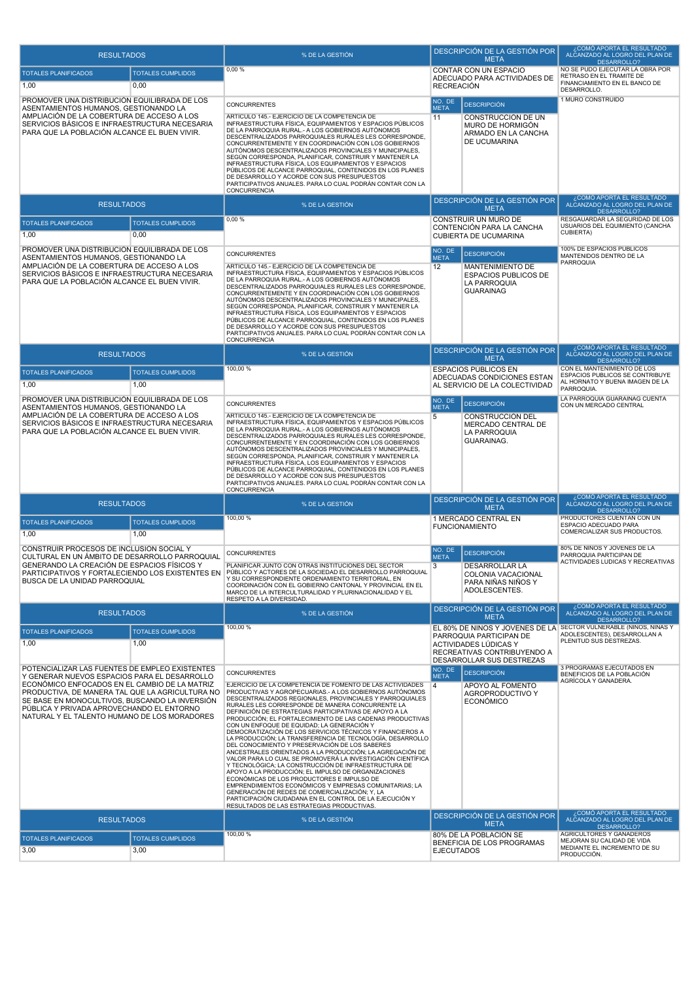| <b>RESULTADOS</b>                                                                                                                                                                                                                                                                                                                                 |                                  | % DE LA GESTIÓN                                                                                                                                                                                                                                                                                                                                                                                                                                                                                                                                                                                                                                                                                                                                                                                                                                                                                                                                                                                                                                                                                                           |                                         | DESCRIPCIÓN DE LA GESTIÓN POR<br><b>META</b>                                                                                                           | ¿COMÓ APORTA EL RESULTADO<br><u>ALČANZADO AL LOGRO DEL PLAN DE</u><br>DESARROLLO?                               |
|---------------------------------------------------------------------------------------------------------------------------------------------------------------------------------------------------------------------------------------------------------------------------------------------------------------------------------------------------|----------------------------------|---------------------------------------------------------------------------------------------------------------------------------------------------------------------------------------------------------------------------------------------------------------------------------------------------------------------------------------------------------------------------------------------------------------------------------------------------------------------------------------------------------------------------------------------------------------------------------------------------------------------------------------------------------------------------------------------------------------------------------------------------------------------------------------------------------------------------------------------------------------------------------------------------------------------------------------------------------------------------------------------------------------------------------------------------------------------------------------------------------------------------|-----------------------------------------|--------------------------------------------------------------------------------------------------------------------------------------------------------|-----------------------------------------------------------------------------------------------------------------|
| <b>TOTALES PLANIFICADOS</b><br>1,00                                                                                                                                                                                                                                                                                                               | <b>TOTALES CUMPLIDOS</b><br>0,00 | 0,00%                                                                                                                                                                                                                                                                                                                                                                                                                                                                                                                                                                                                                                                                                                                                                                                                                                                                                                                                                                                                                                                                                                                     | <b>RECREACIÓN</b>                       | <b>CONTAR CON UN ESPACIO</b><br>ADECUADO PARA ACTIVIDADES DE                                                                                           | NO SE PUDO EJECUTAR LA OBRA POR<br>RETRASO EN EL TRAMITE DE<br>FINANCIAMIENTO EN EL BANCO DE<br>DESARROLLO.     |
| PROMOVER UNA DISTRIBUCIÓN EQUILIBRADA DE LOS<br>ASENTAMIENTOS HUMANOS, GESTIONANDO LA<br>AMPLIACIÓN DE LA COBERTURA DE ACCESO A LOS<br>SERVICIOS BÁSICOS E INFRAESTRUCTURA NECESARIA<br>PARA QUE LA POBLACIÓN ALCANCE EL BUEN VIVIR.                                                                                                              |                                  | <b>CONCURRENTES</b><br>ARTICULO 145.- EJERCICIO DE LA COMPETENCIA DE<br>INFRAESTRUCTURA FÍSICA, EQUIPAMIENTOS Y ESPACIOS PÚBLICOS<br>DE LA PARROQUIA RURAL.- A LOS GOBIERNOS AUTÓNOMOS<br>DESCENTRALIZADOS PARROQUIALES RURALES LES CORRESPONDE,<br>CONCURRENTEMENTE Y EN COORDINACIÓN CON LOS GOBIERNOS<br>AUTÓNOMOS DESCENTRALIZADOS PROVINCIALES Y MUNICIPALES,<br>SEGÚN CORRESPONDA, PLANIFICAR, CONSTRUIR Y MANTENER LA<br>INFRAESTRUCTURA FÍSICA, LOS EQUIPAMIENTOS Y ESPACIOS<br>PÚBLICOS DE ALCANCE PARROQUIAL, CONTENIDOS EN LOS PLANES<br>DE DESARROLLO Y ACORDE CON SUS PRESUPUESTOS<br>PARTICIPATIVOS ANUALES. PARA LO CUAL PODRÁN CONTAR CON LA<br><b>CONCURRENCIA</b>                                                                                                                                                                                                                                                                                                                                                                                                                                       | NO. DE<br><b>META</b><br>11             | <b>DESCRIPCIÓN</b><br>CONSTRUCCIÓN DE UN<br>MURO DE HORMIGÓN<br>ARMADO EN LA CANCHA<br><b>DE UCUMARINA</b>                                             | 1 MURO CONSTRUIDO                                                                                               |
| <b>RESULTADOS</b>                                                                                                                                                                                                                                                                                                                                 |                                  | % DE LA GESTIÓN                                                                                                                                                                                                                                                                                                                                                                                                                                                                                                                                                                                                                                                                                                                                                                                                                                                                                                                                                                                                                                                                                                           |                                         | DESCRIPCIÓN DE LA GESTIÓN POR<br><b>META</b>                                                                                                           | ¿COMÓ APORTA EL RESULTADO<br>ALCANZADO AL LOGRO DEL PLAN DE<br>DESARROLLO?                                      |
| <b>TOTALES PLANIFICADOS</b><br>1,00                                                                                                                                                                                                                                                                                                               | <b>TOTALES CUMPLIDOS</b><br>0,00 | 0,00%                                                                                                                                                                                                                                                                                                                                                                                                                                                                                                                                                                                                                                                                                                                                                                                                                                                                                                                                                                                                                                                                                                                     |                                         | CONSTRUIR UN MURO DE<br>CONTENCIÓN PARA LA CANCHA<br><b>CUBIERTA DE UCUMARINA</b>                                                                      | RESGAUARDAR LA SEGURIDAD DE LOS<br>USUARIOS DEL EQUIMIENTO (CANCHA<br><b>CUBIERTA)</b>                          |
| PROMOVER UNA DISTRIBUCIÓN EQUILIBRADA DE LOS<br>ASENTAMIENTOS HUMANOS, GESTIONANDO LA<br>AMPLIACIÓN DE LA COBERTURA DE ACCESO A LOS<br>SERVICIOS BÁSICOS E INFRAESTRUCTURA NECESARIA<br>PARA QUE LA POBLACIÓN ALCANCE EL BUEN VIVIR.                                                                                                              |                                  | CONCURRENTES<br>ARTICULO 145.- EJERCICIO DE LA COMPETENCIA DE<br>INFRAESTRUCTURA FÍSICA, EQUIPAMIENTOS Y ESPACIOS PÚBLICOS<br>DE LA PARROQUIA RURAL.- A LOS GOBIERNOS AUTÓNOMOS<br>DESCENTRALIZADOS PARROQUIALES RURALES LES CORRESPONDE,<br>CONCURRENTEMENTE Y EN COORDINACIÓN CON LOS GOBIERNOS<br>AUTÓNOMOS DESCENTRALIZADOS PROVINCIALES Y MUNICIPALES,<br>SEGÚN CORRESPONDA, PLANIFICAR, CONSTRUIR Y MANTENER LA<br>INFRAESTRUCTURA FÍSICA, LOS EQUIPAMIENTOS Y ESPACIOS<br>PÚBLICOS DE ALCANCE PARROQUIAL, CONTENIDOS EN LOS PLANES<br>DE DESARROLLO Y ACORDE CON SUS PRESUPUESTOS<br>PARTICIPATIVOS ANUALES. PARA LO CUAL PODRÁN CONTAR CON LA<br>CONCURRENCIA                                                                                                                                                                                                                                                                                                                                                                                                                                                     | NO. DE<br><b>META</b><br>12             | <b>DESCRIPCIÓN</b><br>MANTENIMIENTO DE<br><b>ESPACIOS PUBLICOS DE</b><br>LA PARROQUIA<br><b>GUARAINAG</b>                                              | 100% DE ESPACIOS PUBLICOS<br>MANTENIDOS DENTRO DE LA<br>PARROQUIA                                               |
| <b>RESULTADOS</b>                                                                                                                                                                                                                                                                                                                                 |                                  | % DE LA GESTIÓN                                                                                                                                                                                                                                                                                                                                                                                                                                                                                                                                                                                                                                                                                                                                                                                                                                                                                                                                                                                                                                                                                                           |                                         | DESCRIPCIÓN DE LA GESTIÓN POR<br><b>META</b>                                                                                                           | ¿COMÓ APORTA EL RESULTADO<br>ALCANZADO AL LOGRO DEL PLAN DE<br>DESARROLLO?                                      |
| <b>TOTALES PLANIFICADOS</b><br>1,00                                                                                                                                                                                                                                                                                                               | <b>TOTALES CUMPLIDOS</b><br>1,00 | 100,00 %                                                                                                                                                                                                                                                                                                                                                                                                                                                                                                                                                                                                                                                                                                                                                                                                                                                                                                                                                                                                                                                                                                                  |                                         | <b>ESPACIOS PÚBLICOS EN</b><br>ADECUADAS CONDICIONES ESTAN<br>AL SERVICIO DE LA COLECTIVIDAD                                                           | CON EL MANTENIMIENTO DE LOS<br>ESPACIOS PUBLICOS SE CONTRIBUYE<br>AL HORNATO Y BUENA IMAGEN DE LA<br>PARROQUIA. |
| PROMOVER UNA DISTRIBUCIÓN EQUILIBRADA DE LOS<br>ASENTAMIENTOS HUMANOS, GESTIONANDO LA<br>AMPLIACIÓN DE LA COBERTURA DE ACCESO A LOS<br>SERVICIOS BÁSICOS E INFRAESTRUCTURA NECESARIA<br>PARA QUE LA POBLACIÓN ALCANCE EL BUEN VIVIR.                                                                                                              |                                  | <b>CONCURRENTES</b><br>ARTICULO 145.- EJERCICIO DE LA COMPETENCIA DE<br>INFRAESTRUCTURA FÍSICA, EQUIPAMIENTOS Y ESPACIOS PÚBLICOS<br>DE LA PARROQUIA RURAL.- A LOS GOBIERNOS AUTÓNOMOS<br>DESCENTRALIZADOS PARROQUIALES RURALES LES CORRESPONDE,<br>CONCURRENTEMENTE Y EN COORDINACIÓN CON LOS GOBIERNOS<br>AUTÓNOMOS DESCENTRALIZADOS PROVINCIALES Y MUNICIPALES,<br>SEGÚN CORRESPONDA, PLANIFICAR, CONSTRUIR Y MANTENER LA<br>INFRAESTRUCTURA FÍSICA, LOS EQUIPAMIENTOS Y ESPACIOS<br>PÚBLICOS DE ALCANCE PARROQUIAL, CONTENIDOS EN LOS PLANES<br>DE DESARROLLO Y ACORDE CON SUS PRESUPUESTOS<br>PARTICIPATIVOS ANUALES. PARA LO CUAL PODRÁN CONTAR CON LA<br><b>CONCURRENCIA</b>                                                                                                                                                                                                                                                                                                                                                                                                                                       | NO. DE<br><b>META</b><br>5              | <b>DESCRIPCIÓN</b><br>CONSTRUCCIÓN DEL<br>MERCADO CENTRAL DE<br>LA PARROQUIA<br><b>GUARAINAG.</b>                                                      | LA PARROQUIA GUARAINAG CUENTA<br>CON UN MERCADO CENTRAL                                                         |
| <b>RESULTADOS</b>                                                                                                                                                                                                                                                                                                                                 |                                  | % DE LA GESTIÓN                                                                                                                                                                                                                                                                                                                                                                                                                                                                                                                                                                                                                                                                                                                                                                                                                                                                                                                                                                                                                                                                                                           |                                         | DESCRIPCIÓN DE LA GESTIÓN POR<br><b>META</b>                                                                                                           | ¿COMÓ APORTA EL RESULTADO<br>ALCANZADO AL LOGRO DEL PLAN DE<br>DESARROLLO?                                      |
| <b>TOTALES PLANIFICADOS</b><br>1,00                                                                                                                                                                                                                                                                                                               | <b>TOTALES CUMPLIDOS</b><br>1,00 | 100,00 %                                                                                                                                                                                                                                                                                                                                                                                                                                                                                                                                                                                                                                                                                                                                                                                                                                                                                                                                                                                                                                                                                                                  |                                         | 1 MERCADO CENTRAL EN<br><b>FUNCIONAMIENTO</b>                                                                                                          | PRODUCTORES CUENTAN CON UN<br>ESPACIO ADECUADO PARA<br>COMERCIALIZAR SUS PRODUCTOS.                             |
| CONSTRUIR PROCESOS DE INCLUSIÓN SOCIAL Y<br>CULTURAL EN UN ÁMBITO DE DESARROLLO PARROQUIAL<br>GENERANDO LA CREACIÓN DE ESPACIOS FÍSICOS Y<br>PARTICIPATIVOS Y FORTALECIENDO LOS EXISTENTES EN<br>BUSCA DE LA UNIDAD PARROQUIAL                                                                                                                    |                                  | CONCURRENTES<br>PLANIFICAR JUNTO CON OTRAS INSTITUCIONES DEL SECTOR<br>PÚBLICO Y ACTORES DE LA SOCIEDAD EL DESARROLLO PARROQUIAL<br>Y SU CORRESPONDIENTE ORDENAMIENTO TERRITORIAL, EN<br>COORDINACIÓN CON EL GOBIERNO CANTONAL Y PROVINCIAL EN EL<br>MARCO DE LA INTERCULTURALIDAD Y PLURINACIONALIDAD Y EL<br>RESPETO A LA DIVERSIDAD.                                                                                                                                                                                                                                                                                                                                                                                                                                                                                                                                                                                                                                                                                                                                                                                   | NO. DE<br><b>META</b><br>3              | <b>DESCRIPCIÓN</b><br><b>DESARROLLAR LA</b><br>COLONIA VACACIONAL<br>PARA NIÑAS NIÑOS Y<br>ADOLESCENTES.                                               | 80% DE NIÑOS Y JOVENES DE LA<br>PARROQUIA PARTICIPAN DE<br>ACTIVIDADES LUDICAS Y RECREATIVAS                    |
| <b>RESULTADOS</b>                                                                                                                                                                                                                                                                                                                                 |                                  | % DE LA GESTIÓN                                                                                                                                                                                                                                                                                                                                                                                                                                                                                                                                                                                                                                                                                                                                                                                                                                                                                                                                                                                                                                                                                                           |                                         | DESCRIPCIÓN DE LA GESTIÓN POR<br><b>META</b>                                                                                                           | ¿COMÓ APORTA EL RESULTADO<br>ALCANZADO AL LOGRO DEL PLAN DE<br>DESARROLLO?                                      |
| <b>TOTALES PLANIFICADOS</b><br>1,00                                                                                                                                                                                                                                                                                                               | <b>TOTALES CUMPLIDOS</b><br>1,00 | 100,00 %                                                                                                                                                                                                                                                                                                                                                                                                                                                                                                                                                                                                                                                                                                                                                                                                                                                                                                                                                                                                                                                                                                                  |                                         | EL 80% DE NIÑOS Y JÓVENES DE LA<br>PARROQUIA PARTICIPAN DE<br>ACTIVIDADES LÚDICAS Y<br>RECREATIVAS CONTRIBUYENDO A<br><b>DESARROLLAR SUS DESTREZAS</b> | SECTOR VULNERABLE (NINOS, NINAS Y<br>ADOLESCENTES), DESARROLLAN A<br>PLENITUD SUS DESTREZAS.                    |
| POTENCIALIZAR LAS FUENTES DE EMPLEO EXISTENTES<br>Y GENERAR NUEVOS ESPACIOS PARA EL DESARROLLO<br>ECONÓMICO ENFOCADOS EN EL CAMBIO DE LA MATRIZ<br>PRODUCTIVA. DE MANERA TAL QUE LA AGRICULTURA NO<br>SE BASE EN MONOCULTIVOS, BUSCANDO LA INVERSIÓN<br>PÚBLICA Y PRIVADA APROVECHANDO EL ENTORNO<br>NATURAL Y EL TALENTO HUMANO DE LOS MORADORES |                                  | <b>CONCURRENTES</b><br>EJERCICIO DE LA COMPETENCIA DE FOMENTO DE LAS ACTIVIDADES<br>PRODUCTIVAS Y AGROPECUARIAS.- A LOS GOBIERNOS AUTÓNOMOS<br>DESCENTRALIZADOS REGIONALES, PROVINCIALES Y PARROQUIALES<br>RURALES LES CORRESPONDE DE MANERA CONCURRENTE LA<br>DEFINICIÓN DE ESTRATEGIAS PARTICIPATIVAS DE APOYO A LA<br>PRODUCCIÓN; EL FORTALECIMIENTO DE LAS CADENAS PRODUCTIVAS<br>CON UN ENFOQUE DE EQUIDAD; LA GENERACIÓN Y<br>DEMOCRATIZACIÓN DE LOS SERVICIOS TÉCNICOS Y FINANCIEROS A<br>LA PRODUCCIÓN; LA TRANSFERENCIA DE TECNOLOGÍA, DESARROLLO<br>DEL CONOCIMIENTO Y PRESERVACIÓN DE LOS SABERES<br>ANCESTRALES ORIENTADOS A LA PRODUCCIÓN; LA AGREGACIÓN DE<br>VALOR PARA LO CUAL SE PROMOVERÁ LA INVESTIGACIÓN CIENTÍFICA<br>Y TECNOLÓGICA; LA CONSTRUCCIÓN DE INFRAESTRUCTURA DE<br>APOYO A LA PRODUCCIÓN; EL IMPULSO DE ORGANIZACIONES<br>ECONÓMICAS DE LOS PRODUCTORES E IMPULSO DE<br>EMPRENDIMIENTOS ECONÓMICOS Y EMPRESAS COMUNITARIAS; LA<br>GENERACIÓN DE REDES DE COMERCIALIZACIÓN; Y, LA<br>PARTICIPACIÓN CIUDADANA EN EL CONTROL DE LA EJECUCIÓN Y<br>RESULTADOS DE LAS ESTRATEGIAS PRODUCTIVAS. | NO. DE<br><b>META</b><br>$\overline{4}$ | <b>DESCRIPCIÓN</b><br>APOYO AL FOMENTO<br>AGROPRODUCTIVO Y<br><b>ECONÓMICO</b>                                                                         | 3 PROGRAMAS EJECUTADOS EN<br>BENEFICIOS DE LA POBLACIÓN<br>AGRÍCOLA Y GANADERA.<br>¿COMÓ APORTA EL RESULTADO    |
| <b>RESULTADOS</b>                                                                                                                                                                                                                                                                                                                                 |                                  | % DE LA GESTIÓN                                                                                                                                                                                                                                                                                                                                                                                                                                                                                                                                                                                                                                                                                                                                                                                                                                                                                                                                                                                                                                                                                                           |                                         | DESCRIPCIÓN DE LA GESTIÓN POR<br><b>META</b>                                                                                                           | ALCANZADO AL LOGRO DEL PLAN DE<br>DESARROLLO?                                                                   |
| <b>TOTALES PLANIFICADOS</b><br>3,00                                                                                                                                                                                                                                                                                                               | <b>TOTALES CUMPLIDOS</b><br>3,00 | 100,00 %                                                                                                                                                                                                                                                                                                                                                                                                                                                                                                                                                                                                                                                                                                                                                                                                                                                                                                                                                                                                                                                                                                                  | <b>EJECUTADOS</b>                       | 80% DE LA POBLACIÓN SE<br>BENEFICIA DE LOS PROGRAMAS                                                                                                   | AGRICULTORES Y GANADEROS<br>MEJORAN SU CALIDAD DE VIDA<br>MEDIANTE EL INCREMENTO DE SU<br>PRODUCCIÓN.           |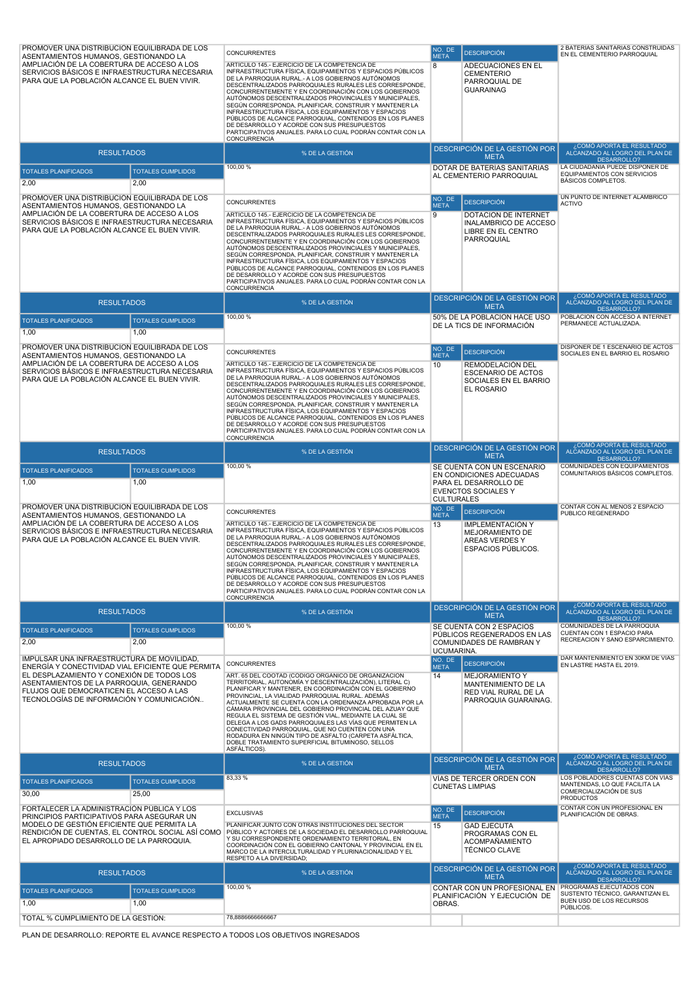| PROMOVER UNA DISTRIBUCIÓN EQUILIBRADA DE LOS<br>ASENTAMIENTOS HUMANOS, GESTIONANDO LA<br>AMPLIACIÓN DE LA COBERTURA DE ACCESO A LOS<br>SERVICIOS BÁSICOS E INFRAESTRUCTURA NECESARIA<br>PARA QUE LA POBLACIÓN ALCANCE EL BUEN VIVIR.<br><b>RESULTADOS</b><br><b>TOTALES PLANIFICADOS</b><br>2,00<br>PROMOVER UNA DISTRIBUCIÓN EQUILIBRADA DE LOS<br>ASENTAMIENTOS HUMANOS, GESTIONANDO LA<br>AMPLIACIÓN DE LA COBERTURA DE ACCESO A LOS<br>SERVICIOS BÁSICOS E INFRAESTRUCTURA NECESARIA<br>PARA QUE LA POBLACIÓN ALCANCE EL BUEN VIVIR. | <b>TOTALES CUMPLIDOS</b><br>2,00  | <b>CONCURRENTES</b><br>ARTÍCULO 145.- EJERCICIO DE LA COMPETENCIA DE<br>INFRAESTRUCTURA FÍSICA, EQUIPAMIENTOS Y ESPACIOS PÚBLICOS<br>DE LA PARROQUIA RURAL.- A LOS GOBIERNOS AUTÓNOMOS<br>DESCENTRALIZADOS PARROQUIALES RURALES LES CORRESPONDE,<br>CONCURRENTEMENTE Y EN COORDINACIÓN CON LOS GOBIERNOS<br>AUTÓNOMOS DESCENTRALIZADOS PROVINCIALES Y MUNICIPALES,<br>SEGÚN CORRESPONDA, PLANIFICAR, CONSTRUIR Y MANTENER LA<br>INFRAESTRUCTURA FÍSICA, LOS EQUIPAMIENTOS Y ESPACIOS<br>PÚBLICOS DE ALCANCE PARROQUIAL, CONTENIDOS EN LOS PLANES<br>DE DESARROLLO Y ACORDE CON SUS PRESUPUESTOS<br>PARTICIPATIVOS ANUALES. PARA LO CUAL PODRÁN CONTAR CON LA<br>CONCURRENCIA<br>% DE LA GESTIÓN<br>100,00 %<br><b>CONCURRENTES</b><br>ARTÍCULO 145.- EJERCICIO DE LA COMPETENCIA DE<br>INFRAESTRUCTURA FÍSICA, EQUIPAMIENTOS Y ESPACIOS PÚBLICOS<br>DE LA PARROQUIA RURAL.- A LOS GOBIERNOS AUTÓNOMOS<br>DESCENTRALIZADOS PARROQUIALES RURALES LES CORRESPONDE,<br>CONCURRENTEMENTE Y EN COORDINACIÓN CON LOS GOBIERNOS<br>AUTÓNOMOS DESCENTRALIZADOS PROVINCIALES Y MUNICIPALES,<br>SEGÚN CORRESPONDA, PLANIFICAR, CONSTRUIR Y MANTENER LA<br>INFRAESTRUCTURA FÍSICA, LOS EQUIPAMIENTOS Y ESPACIOS<br>PÚBLICOS DE ALCANCE PARROQUIAL, CONTENIDOS EN LOS PLANES<br>DE DESARROLLO Y ACORDE CON SUS PRESUPUESTOS | NO. DE<br><b>META</b><br>8<br>NO. DE<br><b>META</b><br>9 | <b>DESCRIPCIÓN</b><br>ADECUACIONES EN EL<br><b>CEMENTERIO</b><br>PARROQUIAL DE<br><b>GUARAINAG</b><br>DESCRIPCIÓN DE LA GESTIÓN POR<br><b>META</b><br>DOTAR DE BATERÍAS SANITARIAS<br>AL CEMENTERIO PARROQUIAL<br><b>DESCRIPCIÓN</b><br>DOTACIÓN DE INTERNET<br><b>INALAMBRICO DE ACCESO</b><br>LIBRE EN EL CENTRO<br>PARROQUIAL | 2 BATERIAS SANITARIAS CONSTRUIDAS<br>EN EL CEMENTERIO PARROQUIAL<br>. COMÓ APORTA EL RESULTADO<br>ALCANZADO AL LOGRO DEL PLAN DE<br>DESARROLLO?<br>LA CIUDADANÍA PUEDE DISPONER DE<br>EQUIPAMIENTOS CON SERVICIOS<br>BÁSICOS COMPLETOS.<br>UN PUNTO DE INTERNET ALAMBRICO<br><b>ACTIVO</b> |
|------------------------------------------------------------------------------------------------------------------------------------------------------------------------------------------------------------------------------------------------------------------------------------------------------------------------------------------------------------------------------------------------------------------------------------------------------------------------------------------------------------------------------------------|-----------------------------------|----------------------------------------------------------------------------------------------------------------------------------------------------------------------------------------------------------------------------------------------------------------------------------------------------------------------------------------------------------------------------------------------------------------------------------------------------------------------------------------------------------------------------------------------------------------------------------------------------------------------------------------------------------------------------------------------------------------------------------------------------------------------------------------------------------------------------------------------------------------------------------------------------------------------------------------------------------------------------------------------------------------------------------------------------------------------------------------------------------------------------------------------------------------------------------------------------------------------------------------------------------------------------------------------------------------|----------------------------------------------------------|----------------------------------------------------------------------------------------------------------------------------------------------------------------------------------------------------------------------------------------------------------------------------------------------------------------------------------|--------------------------------------------------------------------------------------------------------------------------------------------------------------------------------------------------------------------------------------------------------------------------------------------|
|                                                                                                                                                                                                                                                                                                                                                                                                                                                                                                                                          |                                   | PARTICIPATIVOS ANUALES. PARA LO CUAL PODRÁN CONTAR CON LA<br><b>CONCURRENCIA</b>                                                                                                                                                                                                                                                                                                                                                                                                                                                                                                                                                                                                                                                                                                                                                                                                                                                                                                                                                                                                                                                                                                                                                                                                                               |                                                          | DESCRIPCIÓN DE LA GESTIÓN POR                                                                                                                                                                                                                                                                                                    | ¿COMÓ APORTA EL RESULTADO                                                                                                                                                                                                                                                                  |
| <b>RESULTADOS</b>                                                                                                                                                                                                                                                                                                                                                                                                                                                                                                                        |                                   | % DE LA GESTIÓN<br>100,00 %                                                                                                                                                                                                                                                                                                                                                                                                                                                                                                                                                                                                                                                                                                                                                                                                                                                                                                                                                                                                                                                                                                                                                                                                                                                                                    |                                                          | <b>META</b><br>50% DE LA POBLACIÓN HACE USO                                                                                                                                                                                                                                                                                      | ALCANZADO AL LOGRO DEL PLAN DE<br>DESARROLLO?<br>POBLACIÓN CON ACCESO A INTERNET                                                                                                                                                                                                           |
| <b>TOTALES PLANIFICADOS</b><br>1,00                                                                                                                                                                                                                                                                                                                                                                                                                                                                                                      | <b>TOTALES CUMPLIDOS</b><br>1,00  |                                                                                                                                                                                                                                                                                                                                                                                                                                                                                                                                                                                                                                                                                                                                                                                                                                                                                                                                                                                                                                                                                                                                                                                                                                                                                                                |                                                          | DE LA TICS DE INFORMACIÓN                                                                                                                                                                                                                                                                                                        | PERMANECE ACTUALIZADA.                                                                                                                                                                                                                                                                     |
| PROMOVER UNA DISTRIBUCIÓN EQUILIBRADA DE LOS<br>ASENTAMIENTOS HUMANOS, GESTIONANDO LA<br>AMPLIACIÓN DE LA COBERTURA DE ACCESO A LOS<br>SERVICIOS BÁSICOS E INFRAESTRUCTURA NECESARIA<br>PARA QUE LA POBLACIÓN ALCANCE EL BUEN VIVIR.                                                                                                                                                                                                                                                                                                     |                                   | <b>CONCURRENTES</b><br>ARTÍCULO 145.- EJERCICIO DE LA COMPETENCIA DE<br>INFRAESTRUCTURA FÍSICA, EQUIPAMIENTOS Y ESPACIOS PÚBLICOS<br>DE LA PARROQUIA RURAL.- A LOS GOBIERNOS AUTÓNOMOS<br>DESCENTRALIZADOS PARROQUIALES RURALES LES CORRESPONDE,<br>CONCURRENTEMENTE Y EN COORDINACIÓN CON LOS GOBIERNOS<br>AUTÓNOMOS DESCENTRALIZADOS PROVINCIALES Y MUNICIPALES,<br>SEGÚN CORRESPONDA, PLANIFICAR, CONSTRUIR Y MANTENER LA<br>INFRAESTRUCTURA FÍSICA, LOS EQUIPAMIENTOS Y ESPACIOS<br>PÚBLICOS DE ALCANCE PARROQUIAL, CONTENIDOS EN LOS PLANES<br>DE DESARROLLO Y ACORDE CON SUS PRESUPUESTOS<br>PARTICIPATIVOS ANUALES. PARA LO CUAL PODRÁN CONTAR CON LA<br><b>CONCURRENCIA</b>                                                                                                                                                                                                                                                                                                                                                                                                                                                                                                                                                                                                                            | NO. DE<br><b>META</b><br>10                              | <b>DESCRIPCIÓN</b><br><b>REMODELACIÓN DEL</b><br><b>ESCENARIO DE ACTOS</b><br>SOCIALES EN EL BARRIO<br>EL ROSARIO                                                                                                                                                                                                                | DISPONER DE 1 ESCENARIO DE ACTOS<br>SOCIALES EN EL BARRIO EL ROSARIO                                                                                                                                                                                                                       |
| <b>RESULTADOS</b>                                                                                                                                                                                                                                                                                                                                                                                                                                                                                                                        |                                   | % DE LA GESTIÓN                                                                                                                                                                                                                                                                                                                                                                                                                                                                                                                                                                                                                                                                                                                                                                                                                                                                                                                                                                                                                                                                                                                                                                                                                                                                                                |                                                          | DESCRIPCIÓN DE LA GESTIÓN POR<br><b>META</b>                                                                                                                                                                                                                                                                                     | ¿COMÓ APORTA EL RESULTADO<br>ALCANZADO AL LOGRO DEL PLAN DE<br>DESARROLLO?                                                                                                                                                                                                                 |
| <b>TOTALES PLANIFICADOS</b><br>1,00                                                                                                                                                                                                                                                                                                                                                                                                                                                                                                      | <b>TOTALES CUMPLIDOS</b><br>1,00  | 100,00 %                                                                                                                                                                                                                                                                                                                                                                                                                                                                                                                                                                                                                                                                                                                                                                                                                                                                                                                                                                                                                                                                                                                                                                                                                                                                                                       | <b>CULTURALES</b>                                        | SE CUENTA CON UN ESCENARIO<br>EN CONDICIONES ADECUADAS<br>PARA EL DESARROLLO DE<br><b>EVENCTOS SOCIALES Y</b>                                                                                                                                                                                                                    | COMUNIDADES CON EQUIPAMIENTOS<br>COMUNITARIOS BÁSICOS COMPLETOS.                                                                                                                                                                                                                           |
| PROMOVER UNA DISTRIBUCIÓN EQUILIBRADA DE LOS<br>ASENTAMIENTOS HUMANOS, GESTIONANDO LA<br>AMPLIACIÓN DE LA COBERTURA DE ACCESO A LOS<br>SERVICIOS BÁSICOS E INFRAESTRUCTURA NECESARIA<br>PARA QUE LA POBLACIÓN ALCANCE EL BUEN VIVIR.                                                                                                                                                                                                                                                                                                     |                                   | <b>CONCURRENTES</b><br>ARTICULO 145.- EJERCICIO DE LA COMPETENCIA DE<br>INFRAESTRUCTURA FÍSICA, EQUIPAMIENTOS Y ESPACIOS PÚBLICOS<br>DE LA PARROQUIA RURAL.- A LOS GOBIERNOS AUTÓNOMOS<br>DESCENTRALIZADOS PARROQUIALES RURALES LES CORRESPONDE,<br>CONCURRENTEMENTE Y EN COORDINACIÓN CON LOS GOBIERNOS<br>AUTÓNOMOS DESCENTRALIZADOS PROVINCIALES Y MUNICIPALES,<br>SEGÚN CORRESPONDA, PLANIFICAR, CONSTRUIR Y MANTENER LA<br>INFRAESTRUCTURA FÍSICA, LOS EQUIPAMIENTOS Y ESPACIOS<br>PÚBLICOS DE ALCANCE PARROQUIAL, CONTENIDOS EN LOS PLANES<br>DE DESARROLLO Y ACORDE CON SUS PRESUPUESTOS<br>PARTICIPATIVOS ANUALES. PARA LO CUAL PODRÁN CONTAR CON LA<br><b>CONCURRENCIA</b>                                                                                                                                                                                                                                                                                                                                                                                                                                                                                                                                                                                                                            | NO. DE<br><b>META</b><br>13                              | <b>DESCRIPCIÓN</b><br><b>IMPLEMENTACIÓN Y</b><br>MEJORAMIENTO DE<br><b>AREAS VERDES Y</b><br>ESPACIOS PÚBLICOS.                                                                                                                                                                                                                  | CONTAR CON AL MENOS 2 ESPACIO<br>PUBLICO REGENERADO                                                                                                                                                                                                                                        |
| <b>RESULTADOS</b>                                                                                                                                                                                                                                                                                                                                                                                                                                                                                                                        |                                   | % DE LA GESTIÓN                                                                                                                                                                                                                                                                                                                                                                                                                                                                                                                                                                                                                                                                                                                                                                                                                                                                                                                                                                                                                                                                                                                                                                                                                                                                                                |                                                          | DESCRIPCIÓN DE LA GESTIÓN POR<br><b>META</b>                                                                                                                                                                                                                                                                                     | ¿COMÓ APORTA EL RESULTADO<br>ALCANZADO AL LOGRO DEL PLAN DE<br>DESARROLLO?                                                                                                                                                                                                                 |
| <b>TOTALES PLANIFICADOS</b><br>2,00                                                                                                                                                                                                                                                                                                                                                                                                                                                                                                      | <b>TOTALES CUMPLIDOS</b><br>2,00  | 100,00 %                                                                                                                                                                                                                                                                                                                                                                                                                                                                                                                                                                                                                                                                                                                                                                                                                                                                                                                                                                                                                                                                                                                                                                                                                                                                                                       | UCUMARINA.                                               | SE CUENTA CON 2 ESPACIOS<br>PÚBLICOS REGENERADOS EN LAS<br>COMUNIDADES DE RAMBRAN Y                                                                                                                                                                                                                                              | COMUNIDADES DE LA PARROQUIA<br>CUENTAN CON 1 ESPACIO PARA<br>RECREACION Y SANO ESPARCIMIENTO.                                                                                                                                                                                              |
| IMPULSAR UNA INFRAESTRUCTURA DE MOVILIDAD,<br>ENERGÍA Y CONECTIVIDAD VIAL EFICIENTE QUE PERMITA<br>EL DESPLAZAMIENTO Y CONEXIÓN DE TODOS LOS<br>ASENTAMIENTOS DE LA PARROQUIA, GENERANDO<br>FLUJOS QUE DEMOCRATICEN EL ACCESO A LAS<br>TECNOLOGÍAS DE INFORMACIÓN Y COMUNICACIÓN                                                                                                                                                                                                                                                         |                                   | <b>CONCURRENTES</b><br>ART. 65 DEL COOTAD (CODIGO ORGANICO DE ORGANIZACIÓN<br>TERRITORIAL, AUTONOMÍA Y DESCENTRALIZACIÓN), LITERAL C)<br>PLANIFICAR Y MANTENER, EN COORDINACIÓN CON EL GOBIERNO<br>PROVINCIAL, LA VIALIDAD PARROQUIAL RURAL. ADEMÁS<br>ACTUALMENTE SE CUENTA CON LA ORDENANZA APROBADA POR LA                                                                                                                                                                                                                                                                                                                                                                                                                                                                                                                                                                                                                                                                                                                                                                                                                                                                                                                                                                                                  | NO. DE<br><b>META</b><br>14                              | <b>DESCRIPCIÓN</b><br><b>MEJORAMIENTO Y</b><br><b>MANTENIMIENTO DE LA</b><br>RED VIAL RURAL DE LA<br>PARROQUIA GUARAINAG.                                                                                                                                                                                                        | DAR MANTENIMIENTO EN 30KM DE VÍAS<br>EN LASTRE HASTA EL 2019.                                                                                                                                                                                                                              |
|                                                                                                                                                                                                                                                                                                                                                                                                                                                                                                                                          |                                   | CÁMARA PROVINCIAL DEL GOBIERNO PROVINCIAL DEL AZUAY QUE<br>REGULA EL SISTEMA DE GESTIÓN VIAL, MEDIANTE LA CUAL SE<br>DELEGA A LOS GADS PARROQUIALES LAS VÍAS QUE PERMITEN LA<br>CONECTIVIDAD PARROQUIAL, QUE NO CUENTEN CON UNA<br>RODADURA EN NINGÚN TIPO DE ASFALTO (CARPETA ASFÁLTICA,<br>DOBLE TRATAMIENTO SUPERFICIAL BITUMINOSO, SELLOS<br>ASFÁLTICOS).                                                                                                                                                                                                                                                                                                                                                                                                                                                                                                                                                                                                                                                                                                                                                                                                                                                                                                                                                  |                                                          |                                                                                                                                                                                                                                                                                                                                  |                                                                                                                                                                                                                                                                                            |
| <b>RESULTADOS</b>                                                                                                                                                                                                                                                                                                                                                                                                                                                                                                                        |                                   | % DE LA GESTIÓN                                                                                                                                                                                                                                                                                                                                                                                                                                                                                                                                                                                                                                                                                                                                                                                                                                                                                                                                                                                                                                                                                                                                                                                                                                                                                                |                                                          | DESCRIPCIÓN DE LA GESTIÓN POR<br><b>META</b>                                                                                                                                                                                                                                                                                     | ¿COMÓ APORTA EL RESULTADO<br>ALCANZADO AL LOGRO DEL PLAN DE<br>DESARROLLO?                                                                                                                                                                                                                 |
| <b>TOTALES PLANIFICADOS</b><br>30,00                                                                                                                                                                                                                                                                                                                                                                                                                                                                                                     | <b>TOTALES CUMPLIDOS</b><br>25,00 | 83,33%                                                                                                                                                                                                                                                                                                                                                                                                                                                                                                                                                                                                                                                                                                                                                                                                                                                                                                                                                                                                                                                                                                                                                                                                                                                                                                         |                                                          | VÍAS DE TERCER ORDEN CON<br><b>CUNETAS LIMPIAS</b>                                                                                                                                                                                                                                                                               | LOS POBLADORES CUENTAS CON VIAS<br>MANTENIDAS, LO QUE FACILITA LA<br>COMERCIALIZACIÓN DE SUS<br><b>PRODUCTOS</b>                                                                                                                                                                           |
| FORTALECER LA ADMINISTRACIÓN PÚBLICA Y LOS<br>PRINCIPIOS PARTICIPATIVOS PARA ASEGURAR UN<br>MODELO DE GESTIÓN EFICIENTE QUE PERMITA LA<br>RENDICIÓN DE CUENTAS, EL CONTROL SOCIAL ASÍ COMO<br>EL APROPIADO DESARROLLO DE LA PARROQUIA.                                                                                                                                                                                                                                                                                                   |                                   | <b>EXCLUSIVAS</b><br>PLANIFICAR JUNTO CON OTRAS INSTITUCIONES DEL SECTOR<br>PÚBLICO Y ACTORES DE LA SOCIEDAD EL DESARROLLO PARROQUIAL<br>Y SU CORRESPONDIENTE ORDENAMIENTO TERRITORIAL, EN<br>COORDINACIÓN CON EL GOBIERNO CANTONAL Y PROVINCIAL EN EL<br>MARCO DE LA INTERCULTURALIDAD Y PLURINACIONALIDAD Y EL<br>RESPETO A LA DIVERSIDAD;                                                                                                                                                                                                                                                                                                                                                                                                                                                                                                                                                                                                                                                                                                                                                                                                                                                                                                                                                                   | NO. DE<br><b>META</b><br>15                              | <b>DESCRIPCIÓN</b><br><b>GAD EJECUTA</b><br>PROGRAMAS CON EL<br><b>ACOMPAÑAMIENTO</b><br><b>TÉCNICO CLAVE</b>                                                                                                                                                                                                                    | CONTAR CON UN PROFESIONAL EN<br>PLANIFICACIÓN DE OBRAS.                                                                                                                                                                                                                                    |
| <b>RESULTADOS</b>                                                                                                                                                                                                                                                                                                                                                                                                                                                                                                                        |                                   | % DE LA GESTIÓN                                                                                                                                                                                                                                                                                                                                                                                                                                                                                                                                                                                                                                                                                                                                                                                                                                                                                                                                                                                                                                                                                                                                                                                                                                                                                                |                                                          | DESCRIPCIÓN DE LA GESTIÓN POR<br><b>META</b>                                                                                                                                                                                                                                                                                     | ¿COMÓ APORTA EL RESULTADO<br>ALCANZADO AL LOGRO DEL PLAN DE<br>DESARROLLO?                                                                                                                                                                                                                 |
| <b>TOTALES PLANIFICADOS</b><br>1,00                                                                                                                                                                                                                                                                                                                                                                                                                                                                                                      | <b>TOTALES CUMPLIDOS</b><br>1,00  | 100,00 %                                                                                                                                                                                                                                                                                                                                                                                                                                                                                                                                                                                                                                                                                                                                                                                                                                                                                                                                                                                                                                                                                                                                                                                                                                                                                                       | OBRAS.                                                   | CONTAR CON UN PROFESIONAL EN<br>PLANIFICACIÓN Y EJECUCIÓN DE                                                                                                                                                                                                                                                                     | PROGRAMAS EJECUTADOS CON<br>SUSTENTO TÉCNICO, GARANTIZAN EL<br>BUEN USO DE LOS RECURSOS<br>PÚBLICOS.                                                                                                                                                                                       |

PLAN DE DESARROLLO: REPORTE EL AVANCE RESPECTO A TODOS LOS OBJETIVOS INGRESADOS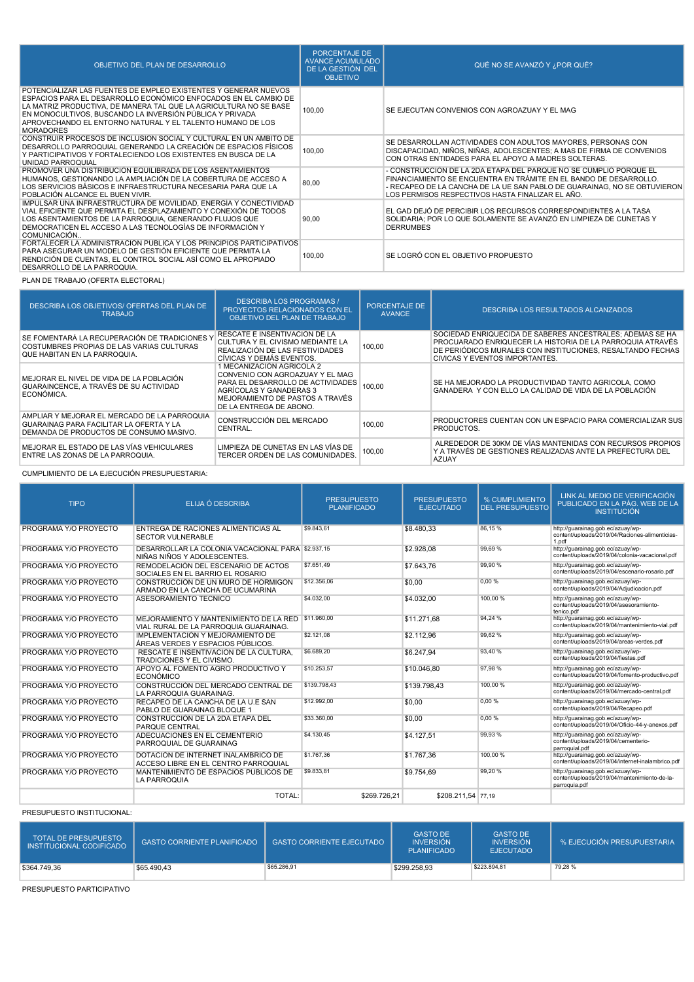| OBJETIVO DEL PLAN DE DESARROLLO                                                                                                                                                                                                                                                                                                                       | PORCENTAJE DE<br><b>AVANCE ACUMULADO</b><br>DE LA GESTIÓN DEL<br><b>OBJETIVO</b> | QUÉ NO SE AVANZÓ Y ¿POR QUÉ?                                                                                                                                                                                                                                           |
|-------------------------------------------------------------------------------------------------------------------------------------------------------------------------------------------------------------------------------------------------------------------------------------------------------------------------------------------------------|----------------------------------------------------------------------------------|------------------------------------------------------------------------------------------------------------------------------------------------------------------------------------------------------------------------------------------------------------------------|
| POTENCIALIZAR LAS FUENTES DE EMPLEO EXISTENTES Y GENERAR NUEVOS<br>ESPACIOS PARA EL DESARROLLO ECONÓMICO ENFOCADOS EN EL CAMBIO DE<br>LA MATRIZ PRODUCTIVA, DE MANERA TAL QUE LA AGRICULTURA NO SE BASE<br>EN MONOCULTIVOS, BUSCANDO LA INVERSIÓN PÚBLICA Y PRIVADA<br>APROVECHANDO EL ENTORNO NATURAL Y EL TALENTO HUMANO DE LOS<br><b>MORADORES</b> | 100,00                                                                           | SE EJECUTAN CONVENIOS CON AGROAZUAY Y EL MAG                                                                                                                                                                                                                           |
| CONSTRUIR PROCESOS DE INCLUSIÓN SOCIAL Y CULTURAL EN UN AMBITO DE<br>DESARROLLO PARROQUIAL GENERANDO LA CREACIÓN DE ESPACIOS FÍSICOS<br>Y PARTICIPATIVOS Y FORTALECIENDO LOS EXISTENTES EN BUSCA DE LA<br>UNIDAD PARROQUIAL                                                                                                                           | 100,00                                                                           | SE DESARROLLAN ACTIVIDADES CON ADULTOS MAYORES, PERSONAS CON<br>DISCAPACIDAD, NIÑOS, NIÑAS, ADOLESCENTES; A MAS DE FIRMA DE CONVENIOS<br>CON OTRAS ENTIDADES PARA EL APOYO A MADRES SOLTERAS.                                                                          |
| PROMOVER UNA DISTRIBUCIÓN EQUILIBRADA DE LOS ASENTAMIENTOS<br>HUMANOS, GESTIONANDO LA AMPLIACIÓN DE LA COBERTURA DE ACCESO A<br>LOS SERVICIOS BÁSICOS E INFRAESTRUCTURA NECESARIA PARA QUE LA<br>POBLACIÓN ALCANCE EL BUEN VIVIR.                                                                                                                     | 80,00                                                                            | - CONSTRUCCIÓN DE LA 2DA ETAPA DEL PARQUE NO SE CUMPLIÓ PORQUE EL<br>FINANCIAMIENTO SE ENCUENTRA EN TRÁMITE EN EL BANDO DE DESARROLLO.<br>- RECAPEO DE LA CANCHA DE LA UE SAN PABLO DE GUARAINAG, NO SE OBTUVIERON<br>LOS PERMISOS RESPECTIVOS HASTA FINALIZAR EL AÑO. |
| IMPULSAR UNA INFRAESTRUCTURA DE MOVILIDAD, ENERGIA Y CONECTIVIDAD<br>VIAL EFICIENTE QUE PERMITA EL DESPLAZAMIENTO Y CONEXIÓN DE TODOS<br>LOS ASENTAMIENTOS DE LA PARROQUIA, GENERANDO FLUJOS QUE<br>DEMOCRATICEN EL ACCESO A LAS TECNOLOGÍAS DE INFORMACIÓN Y<br>COMUNICACIÓN                                                                         | 90,00                                                                            | EL GAD DEJÓ DE PERCIBIR LOS RECURSOS CORRESPONDIENTES A LA TASA<br>SOLIDARIA: POR LO QUE SOLAMENTE SE AVANZÓ EN LIMPIEZA DE CUNETAS Y<br><b>DERRUMBES</b>                                                                                                              |
| FORTALECER LA ADMINISTRACIÓN PÚBLICA Y LOS PRINCIPIOS PARTICIPATIVOS<br>PARA ASEGURAR UN MODELO DE GESTIÓN EFICIENTE QUE PERMITA LA<br>RENDICIÓN DE CUENTAS. EL CONTROL SOCIAL ASÍ COMO EL APROPIADO<br>DESARROLLO DE LA PARROQUIA.                                                                                                                   | 100,00                                                                           | SE LOGRÓ CON EL OBJETIVO PROPUESTO                                                                                                                                                                                                                                     |

# PLAN DE TRABAJO (OFERTA ELECTORAL)

| DESCRIBA LOS OBJETIVOS/ OFERTAS DEL PLAN DE<br><b>TRABAJO</b>                                                                      | <b>DESCRIBA LOS PROGRAMAS /</b><br><b>PROYECTOS RELACIONADOS CON EL</b><br>OBJETIVO DEL PLAN DE TRABAJO                                                                                    | PORCENTAJE DE<br><b>AVANCE</b> | DESCRIBA LOS RESULTADOS ALCANZADOS                                                                                                                                                                                     |
|------------------------------------------------------------------------------------------------------------------------------------|--------------------------------------------------------------------------------------------------------------------------------------------------------------------------------------------|--------------------------------|------------------------------------------------------------------------------------------------------------------------------------------------------------------------------------------------------------------------|
| SE FOMENTARÁ LA RECUPERACIÓN DE TRADICIONES Y<br>COSTUMBRES PROPIAS DE LAS VARIAS CULTURAS<br>QUE HABITAN EN LA PARROQUIA.         | RESCATE E INSENTIVACION DE LA<br>CULTURA Y EL CIVISMO MEDIANTE LA<br>REALIZACIÓN DE LAS FESTIVIDADES<br>CÍVICAS Y DEMÁS EVENTOS.                                                           | 100,00                         | SOCIEDAD ENRIQUECIDA DE SABERES ANCESTRALES; ADEMÁS SE HA<br>PROCUARADO ENRIQUECER LA HISTORIA DE LA PARROQUIA ATRAVÉS<br>DE PERIÓDICOS MURALES CON INSTITUCIONES, RESALTANDO FECHAS<br>CIVICAS Y EVENTOS IMPORTANTES. |
| MEJORAR EL NIVEL DE VIDA DE LA POBLACIÓN<br>GUARAINCENCE. A TRAVÉS DE SU ACTIVIDAD<br>ECONÓMICA.                                   | 1 MECANIZACIÓN AGRICOLA 2<br>CONVENIO CON AGROAZUAY Y EL MAG<br>PARA EL DESARROLLO DE ACTIVIDADES<br>AGRÍCOLAS Y GANADERAS 3<br>MEJORAMIENTO DE PASTOS A TRAVÉS<br>DE LA ENTREGA DE ABONO. | 100,00                         | SE HA MEJORADO LA PRODUCTIVIDAD TANTO AGRICOLA, COMO<br>GANADERA Y CON ELLO LA CALIDAD DE VIDA DE LA POBLACIÓN                                                                                                         |
| AMPLIAR Y MEJORAR EL MERCADO DE LA PARROQUIA<br>GUARAINAG PARA FACILITAR LA OFERTA Y LA<br>DEMANDA DE PRODUCTOS DE CONSUMO MASIVO. | CONSTRUCCIÓN DEL MERCADO<br>CENTRAL.                                                                                                                                                       | 100.00                         | PRODUCTORES CUENTAN CON UN ESPACIO PARA COMERCIALIZAR SUS<br>PRODUCTOS.                                                                                                                                                |
| MEJORAR EL ESTADO DE LAS VÍAS VEHICULARES<br>ENTRE LAS ZONAS DE LA PARROQUIA.                                                      | LIMPIEZA DE CUNETAS EN LAS VÍAS DE<br>TERCER ORDEN DE LAS COMUNIDADES.                                                                                                                     | 100,00                         | ALREDEDOR DE 30KM DE VÍAS MANTENIDAS CON RECURSOS PROPIOS<br>Y A TRAVÉS DE GESTIONES REALIZADAS ANTE LA PREFECTURA DEL<br><b>AZUAY</b>                                                                                 |

#### CUMPLIMIENTO DE LA EJECUCIÓN PRESUPUESTARIA:

| <b>TIPO</b>           | ELIJA Ó DESCRIBA                                                                              | <b>PRESUPUESTO</b><br><b>PLANIFICADO</b> | <b>PRESUPUESTO</b><br><b>EJECUTADO</b> | % CUMPLIMIENTO<br><b>DEL PRESUPUESTO</b> | LINK AL MEDIO DE VERIFICACIÓN<br>PUBLICADO EN LA PÁG. WEB DE LA<br><b>INSTITUCIÓN</b>              |
|-----------------------|-----------------------------------------------------------------------------------------------|------------------------------------------|----------------------------------------|------------------------------------------|----------------------------------------------------------------------------------------------------|
| PROGRAMA Y/O PROYECTO | ENTREGA DE RACIONES ALIMENTICIAS AL<br><b>SECTOR VULNERABLE</b>                               | \$9,843.61                               | \$8,480.33                             | 86.15%                                   | http://guarainag.gob.ec/azuay/wp-<br>content/uploads/2019/04/Raciones-alimenticias-<br>1.pdf       |
| PROGRAMA Y/O PROYECTO | DESARROLLAR LA COLONIA VACACIONAL PARA \$2.937,15<br>NIÑAS NIÑOS Y ADOLESCENTES.              |                                          | \$2.928,08                             | 99.69%                                   | http://guarainag.gob.ec/azuay/wp-<br>content/uploads/2019/04/colonia-vacacional.pdf                |
| PROGRAMA Y/O PROYECTO | REMODELACIÓN DEL ESCENARIO DE ACTOS<br>SOCIALES EN EL BARRIO EL ROSARIO                       | \$7,651.49                               | \$7.643.76                             | 99.90 %                                  | http://guarainag.gob.ec/azuay/wp-<br>content/uploads/2019/04/escenario-rosario.pdf                 |
| PROGRAMA Y/O PROYECTO | CONSTRUCCIÓN DE UN MURO DE HORMIGÓN<br>ARMADO EN LA CANCHA DE UCUMARINA                       | \$12,356.06                              | \$0.00                                 | 0.00%                                    | http://guarainag.gob.ec/azuay/wp-<br>content/uploads/2019/04/Adiudicacion.pdf                      |
| PROGRAMA Y/O PROYECTO | ASESORAMIENTO TÉCNICO                                                                         | \$4.032.00                               | \$4.032.00                             | 100.00%                                  | http://guarainag.gob.ec/azuay/wp-<br>content/uploads/2019/04/asesoramiento-<br>tenico.pdf          |
| PROGRAMA Y/O PROYECTO | MEJORAMIENTO Y MANTENIMIENTO DE LA RED   \$11.960,00<br>VIAL RURAL DE LA PARROQUIA GUARAINAG. |                                          | \$11.271.68                            | 94.24 %                                  | http://guarainag.gob.ec/azuay/wp-<br>content/uploads/2019/04/mantenimiento-vial.pdf                |
| PROGRAMA Y/O PROYECTO | IMPLEMENTACIÓN Y MEJORAMIENTO DE<br>ÁREAS VERDES Y ESPACIOS PÚBLICOS.                         | \$2,121.08                               | \$2.112.96                             | 99.62%                                   | http://guarainag.gob.ec/azuay/wp-<br>content/uploads/2019/04/areas-verdes.pdf                      |
| PROGRAMA Y/O PROYECTO | RESCATE E INSENTIVACION DE LA CULTURA.<br>TRADICIONES Y EL CIVISMO.                           | \$6,689.20                               | \$6.247,94                             | 93.40 %                                  | http://guarainag.gob.ec/azuay/wp-<br>content/uploads/2019/04/fiestas.pdf                           |
| PROGRAMA Y/O PROYECTO | APOYO AL FOMENTO AGRO PRODUCTIVO Y<br><b>ECONÓMICO</b>                                        | \$10,253.57                              | \$10.046,80                            | 97.98%                                   | http://guarainag.gob.ec/azuay/wp-<br>content/uploads/2019/04/fomento-productivo.pdf                |
| PROGRAMA Y/O PROYECTO | CONSTRUCCIÓN DEL MERCADO CENTRAL DE<br>LA PARROQUIA GUARAINAG.                                | \$139,798.43                             | \$139.798.43                           | 100.00 %                                 | http://quarainag.gob.ec/azuay/wp-<br>content/uploads/2019/04/mercado-central.pdf                   |
| PROGRAMA Y/O PROYECTO | RECAPEO DE LA CANCHA DE LA U.E SAN<br>PABLO DE GUARAINAG BLOQUE 1                             | \$12,992.00                              | \$0,00                                 | 0.00%                                    | http://guarainag.gob.ec/azuay/wp-<br>content/uploads/2019/04/Recapeo.pdf                           |
| PROGRAMA Y/O PROYECTO | CONSTRUCCIÓN DE LA 2DA ETAPA DEL<br><b>PARQUE CENTRAL</b>                                     | \$33,360.00                              | \$0.00                                 | 0.00%                                    | http://guarainag.gob.ec/azuay/wp-<br>content/uploads/2019/04/Oficio-44-v-anexos.pdf                |
| PROGRAMA Y/O PROYECTO | ADECUACIONES EN EL CEMENTERIO<br>PARROQUIAL DE GUARAINAG                                      | \$4.130.45                               | \$4,127.51                             | 99.93%                                   | http://guarainag.gob.ec/azuay/wp-<br>content/uploads/2019/04/cementerio-<br>parroquial.pdf         |
| PROGRAMA Y/O PROYECTO | DOTACIÓN DE INTERNET INALAMBRICO DE<br>ACCESO LIBRE EN EL CENTRO PARROQUIAL                   | \$1,767.36                               | \$1,767.36                             | 100.00%                                  | http://quarainag.gob.ec/azuay/wp-<br>content/uploads/2019/04/internet-inalambrico.pdf              |
| PROGRAMA Y/O PROYECTO | MANTENIMIENTO DE ESPACIOS PÚBLICOS DE<br><b>LA PARROQUIA</b>                                  | \$9,833.81                               | \$9.754,69                             | 99,20%                                   | http://quarainag.gob.ec/azuay/wp-<br>content/uploads/2019/04/mantenimiento-de-la-<br>parroquia.pdf |
|                       | TOTAL:                                                                                        | \$269,726.21                             | \$208.211.54 77.19                     |                                          |                                                                                                    |

PRESUPUESTO INSTITUCIONAL:

| <b>TOTAL DE PRESUPUESTO</b><br>INSTITUCIONAL CODIFICADO | <b>GASTO CORRIENTE PLANIFICADO</b> | <b>GASTO CORRIENTE EJECUTADO</b> | <b>GASTO DE</b><br><b>INVERSIÓN</b><br><b>PLANIFICADO</b> | <b>GASTO DE</b><br><b>INVERSIÓN</b><br><b>EJECUTADO</b> | I % EJECUCIÓN PRESUPUESTARIA ' |
|---------------------------------------------------------|------------------------------------|----------------------------------|-----------------------------------------------------------|---------------------------------------------------------|--------------------------------|
| \$364,749.36                                            | \$65.490,43                        | \$65.286,91                      | \$299.258.93                                              | \$223.894,81                                            | 79,28%                         |

PRESUPUESTO PARTICIPATIVO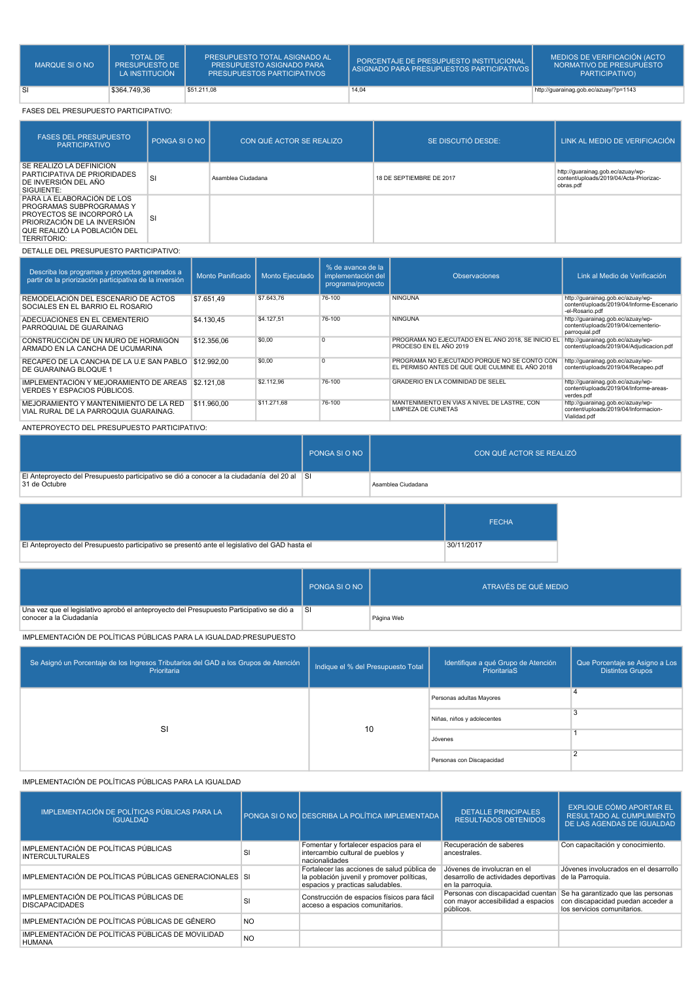| MARQUE SI O NO | <b>TOTAL DE</b><br><b>PRESUPUESTO DE 1</b><br>LA INSTITUCIÓN | <b>PRESUPUESTO TOTAL ASIGNADO AL</b><br><b>PRESUPUESTO ASIGNADO PARA</b><br><b>PRESUPUESTOS PARTICIPATIVOS</b> | PORCENTAJE DE PRESUPUESTO INSTITUCIONAL<br>ASIGNADO PARA PRESUPUESTOS PARTICIPATIVOS I | MEDIOS DE VERIFICACIÓN (ACTO<br>NORMATIVO DE PRESUPUESTO<br>PARTICIPATIVO) |
|----------------|--------------------------------------------------------------|----------------------------------------------------------------------------------------------------------------|----------------------------------------------------------------------------------------|----------------------------------------------------------------------------|
| -SI            | \$364,749.36                                                 | \$51,211.08                                                                                                    | 14,04                                                                                  | http://guarainag.gob.ec/azuay/?p=1143                                      |

#### FASES DEL PRESUPUESTO PARTICIPATIVO:

| <b>FASES DEL PRESUPUESTO</b><br><b>PARTICIPATIVO</b>                                                                                                                      | PONGA SI O NO | CON QUÉ ACTOR SE REALIZO | SE DISCUTIÓ DESDE:       | LINK AL MEDIO DE VERIFICACIÓN                                                             |
|---------------------------------------------------------------------------------------------------------------------------------------------------------------------------|---------------|--------------------------|--------------------------|-------------------------------------------------------------------------------------------|
| SE REALIZÓ LA DEFINICIÓN<br>PARTICIPATIVA DE PRIORIDADES<br>DE INVERSIÓN DEL AÑO<br>SIGUIENTE:                                                                            | <b>SI</b>     | Asamblea Ciudadana       | 18 DE SEPTIEMBRE DE 2017 | http://guarainag.gob.ec/azuay/wp-<br>content/uploads/2019/04/Acta-Priorizac-<br>obras.pdf |
| PARA LA ELABORACIÓN DE LOS<br>PROGRAMAS SUBPROGRAMAS Y<br>PROYECTOS SE INCORPORÓ LA<br>PRIORIZACIÓN DE LA INVERSIÓN<br>QUE REALIZÓ LA POBLACIÓN DEL<br><b>TERRITORIO:</b> | S             |                          |                          |                                                                                           |

### DETALLE DEL PRESUPUESTO PARTICIPATIVO:

| Describa los programas y proyectos generados a<br>partir de la priorización participativa de la inversión | Monto Panificado | <b>Monto Eiecutado</b> | % de avance de la<br>implementación del<br>programa/proyecto | <b>Observaciones</b>                                                                            | Link al Medio de Verificación                                                                     |
|-----------------------------------------------------------------------------------------------------------|------------------|------------------------|--------------------------------------------------------------|-------------------------------------------------------------------------------------------------|---------------------------------------------------------------------------------------------------|
| REMODELACIÓN DEL ESCENARIO DE ACTOS<br>SOCIALES EN EL BARRIO EL ROSARIO                                   | \$7.651.49       | \$7,643.76             | 76-100                                                       | <b>NINGUNA</b>                                                                                  | http://guarainag.gob.ec/azuay/wp-<br>content/uploads/2019/04/Informe-Escenario<br>-el-Rosario.pdf |
| ADECUACIONES EN EL CEMENTERIO<br>PARROQUIAL DE GUARAINAG                                                  | \$4,130.45       | \$4,127.51             | 76-100                                                       | <b>NINGUNA</b>                                                                                  | http://guarainag.gob.ec/azuay/wp-<br>content/uploads/2019/04/cementerio-<br>parroquial.pdf        |
| CONSTRUCCIÓN DE UN MURO DE HORMIGÓN<br>ARMADO EN LA CANCHA DE UCUMARINA                                   | \$12,356.06      | \$0.00                 |                                                              | PROGRAMA NO EJECUTADO EN EL ANO 2018. SE INICIO EL<br>PROCESO EN EL AÑO 2019                    | http://guarainag.gob.ec/azuay/wp-<br>content/uploads/2019/04/Adjudicacion.pdf                     |
| RECAPEO DE LA CANCHA DE LA U.E SAN PABLO<br>DE GUARAINAG BLOQUE 1                                         | \$12,992.00      | \$0.00                 |                                                              | PROGRAMA NO EJECUTADO PORQUE NO SE CONTO CON<br>EL PERMISO ANTES DE QUE QUE CULMINE EL AÑO 2018 | http://quarainag.gob.ec/azuay/wp-<br>content/uploads/2019/04/Recapeo.pdf                          |
| IMPLEMENTACIÓN Y MEJORAMIENTO DE AREAS<br>VERDES Y ESPACIOS PÚBLICOS.                                     | \$2,121.08       | \$2,112.96             | 76-100                                                       | <b>GRADERIO EN LA COMINIDAD DE SELEL</b>                                                        | http://guarainag.gob.ec/azuay/wp-<br>content/uploads/2019/04/Informe-areas-<br>verdes.pdf         |
| MEJORAMIENTO Y MANTENIMIENTO DE LA RED<br>VIAL RURAL DE LA PARROQUIA GUARAINAG.                           | \$11,960,00      | \$11.271.68            | 76-100                                                       | MANTENIMIENTO EN VIAS A NIVEL DE LASTRE, CON<br><b>LIMPIEZA DE CUNETAS</b>                      | http://guarainag.gob.ec/azuay/wp-<br>content/uploads/2019/04/Informacion-<br>Vialidad.pdf         |
| $\lambda$ NTEDDOVECTO DEL BREQUBUECTO DARTIQUAATIVO.                                                      |                  |                        |                                                              |                                                                                                 |                                                                                                   |

ANTEPROYECTO DEL PRESUPUESTO PARTICIPATIVO:

|                                                                                                              | PONGA SI O NO | CON QUÉ ACTOR SE REALIZÓ |
|--------------------------------------------------------------------------------------------------------------|---------------|--------------------------|
| El Anteproyecto del Presupuesto participativo se dió a conocer a la ciudadanía del 20 al SI<br>31 de Octubre |               | Asamblea Ciudadana       |

|                                                                                                | <b>FECHA</b> |
|------------------------------------------------------------------------------------------------|--------------|
| El Anteproyecto del Presupuesto participativo se presentó ante el legislativo del GAD hasta el | 30/11/2017   |

|                                                                                                                     | PONGA SI O NO | ATRAVÉS DE QUÉ MEDIO |
|---------------------------------------------------------------------------------------------------------------------|---------------|----------------------|
| Una vez que el legislativo aprobó el anteproyecto del Presupuesto Participativo se dió a<br>conocer a la Ciudadanía | ∣SI           | Página Web           |

IMPLEMENTACIÓN DE POLÍTICAS PÚBLICAS PARA LA IGUALDAD:PRESUPUESTO

| Se Asignó un Porcentaje de los Ingresos Tributarios del GAD a los Grupos de Atención<br>Prioritaria | Indique el % del Presupuesto Total | Identifique a qué Grupo de Atención<br>PrioritariaS | Que Porcentaje se Asigno a Los<br><b>Distintos Grupos</b> |
|-----------------------------------------------------------------------------------------------------|------------------------------------|-----------------------------------------------------|-----------------------------------------------------------|
| SI                                                                                                  |                                    | Personas adultas Mayores                            |                                                           |
|                                                                                                     | 10                                 | Niñas, niños y adolecentes                          | 3                                                         |
|                                                                                                     |                                    | Jóvenes                                             |                                                           |
|                                                                                                     |                                    | Personas con Discapacidad                           |                                                           |

#### IMPLEMENTACIÓN DE POLÍTICAS PÚBLICAS PARA LA IGUALDAD

| IMPLEMENTACIÓN DE POLÍTICAS PÚBLICAS PARA LA<br><b>IGUALDAD</b>    |           | PONGA SI O NO DESCRIBA LA POLÍTICA IMPLEMENTADA I                                                                             | <b>DETALLE PRINCIPALES</b><br><b>RESULTADOS OBTENIDOS</b>                               | <b>EXPLIQUE CÓMO APORTAR EL</b><br><b>RESULTADO AL CUMPLIMIENTO</b><br>DE LAS AGENDAS DE IGUALDAD                                        |
|--------------------------------------------------------------------|-----------|-------------------------------------------------------------------------------------------------------------------------------|-----------------------------------------------------------------------------------------|------------------------------------------------------------------------------------------------------------------------------------------|
| IMPLEMENTACIÓN DE POLÍTICAS PÚBLICAS<br><b>INTERCULTURALES</b>     | SI        | Fomentar y fortalecer espacios para el<br>intercambio cultural de pueblos y<br>nacionalidades                                 | Recuperación de saberes<br>ancestrales.                                                 | Con capacitación y conocimiento.                                                                                                         |
| IMPLEMENTACIÓN DE POLÍTICAS PÚBLICAS GENERACIONALES SI             |           | Fortalecer las acciones de salud pública de<br>la población juvenil y promover políticas,<br>espacios y practicas saludables. | Jóvenes de involucran en el<br>desarrollo de actividades deportivas<br>en la parroquia. | Jóvenes involucrados en el desarrollo<br>de la Parroquia.                                                                                |
| IMPLEMENTACIÓN DE POLÍTICAS PÚBLICAS DE<br><b>DISCAPACIDADES</b>   | SI        | Construcción de espacios físicos para fácil<br>acceso a espacios comunitarios.                                                | con mayor accesibilidad a espacios<br>públicos.                                         | Personas con discapacidad cuentan Se ha garantizado que las personas<br>con discapacidad puedan acceder a<br>los servicios comunitarios. |
| IMPLEMENTACIÓN DE POLÍTICAS PÚBLICAS DE GÉNERO                     | <b>NO</b> |                                                                                                                               |                                                                                         |                                                                                                                                          |
| IMPLEMENTACIÓN DE POLÍTICAS PÚBLICAS DE MOVILIDAD<br><b>HUMANA</b> | <b>NO</b> |                                                                                                                               |                                                                                         |                                                                                                                                          |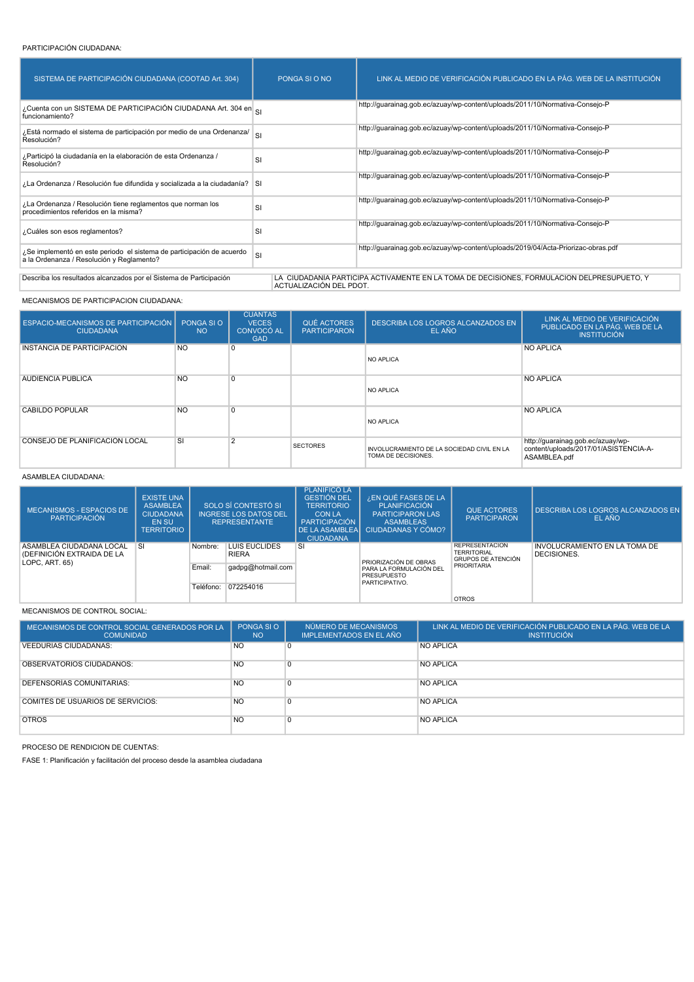#### PARTICIPACIÓN CIUDADANA:

| SISTEMA DE PARTICIPACIÓN CIUDADANA (COOTAD Art. 304)                                                                                                                                        | PONGA SLO NO | LINK AL MEDIO DE VERIFICACIÓN PUBLICADO EN LA PÁG. WEB DE LA INSTITUCIÓN          |  |  |  |  |
|---------------------------------------------------------------------------------------------------------------------------------------------------------------------------------------------|--------------|-----------------------------------------------------------------------------------|--|--|--|--|
| ¿Cuenta con un SISTEMA DE PARTICIPACIÓN CIUDADANA Art. 304 en el<br>funcionamiento?                                                                                                         |              | http://guarainag.gob.ec/azuay/wp-content/uploads/2011/10/Normativa-Consejo-P      |  |  |  |  |
| ¿Está normado el sistema de participación por medio de una Ordenanza/<br>Resolución?                                                                                                        | SI           | http://guarainag.gob.ec/azuay/wp-content/uploads/2011/10/Normativa-Consejo-P      |  |  |  |  |
| ¿Participó la ciudadanía en la elaboración de esta Ordenanza /<br>Resolución?                                                                                                               | SI           | http://guarainag.gob.ec/azuay/wp-content/uploads/2011/10/Normativa-Consejo-P      |  |  |  |  |
| La Ordenanza / Resolución fue difundida y socializada a la ciudadanía? SI                                                                                                                   |              | http://quarainaq.qob.ec/azuay/wp-content/uploads/2011/10/Normativa-Consejo-P      |  |  |  |  |
| ¿La Ordenanza / Resolución tiene reglamentos que norman los<br>procedimientos referidos en la misma?                                                                                        | SI           | http://guarainag.gob.ec/azuay/wp-content/uploads/2011/10/Normativa-Consejo-P      |  |  |  |  |
| ¿Cuáles son esos reglamentos?                                                                                                                                                               | SI           | http://quarainaq.qob.ec/azuay/wp-content/uploads/2011/10/Normativa-Consejo-P      |  |  |  |  |
| ¿Se implementó en este periodo el sistema de participación de acuerdo<br>a la Ordenanza / Resolución y Reglamento?                                                                          | SI           | http://guarainag.gob.ec/azuay/wp-content/uploads/2019/04/Acta-Priorizac-obras.pdf |  |  |  |  |
| Describa los resultados alcanzados por el Sistema de Participación<br>LA CIUDADANÍA PARTICIPA ACTIVAMENTE EN LA TOMA DE DECISIONES, FORMULACION DELPRESUPUETO, Y<br>ACTUALIZACIÓN DEL PDOT. |              |                                                                                   |  |  |  |  |

MECANISMOS DE PARTICIPACION CIUDADANA:

| ESPACIO-MECANISMOS DE PARTICIPACIÓN I<br><b>CIUDADANA</b> | PONGA SI O<br><b>NO</b> | <b>CUANTAS</b><br><b>VECES</b><br><b>CONVOCÓ AL</b><br><b>GAD</b> | QUÉ ACTORES<br><b>PARTICIPARON</b> | DESCRIBA LOS LOGROS ALCANZADOS EN<br>EL AÑO                       | LINK AL MEDIO DE VERIFICACIÓN<br><b>PUBLICADO EN LA PÁG. WEB DE LA</b><br><b>INSTITUCIÓN</b> |
|-----------------------------------------------------------|-------------------------|-------------------------------------------------------------------|------------------------------------|-------------------------------------------------------------------|----------------------------------------------------------------------------------------------|
| <b>INSTANCIA DE PARTICIPACIÓN</b>                         | <b>NO</b>               | 0                                                                 |                                    | <b>NO APLICA</b>                                                  | NO APLICA                                                                                    |
| AUDIENCIA PUBLICA                                         | <b>NO</b>               | $\Omega$                                                          |                                    | <b>NO APLICA</b>                                                  | NO APLICA                                                                                    |
| CABILDO POPULAR                                           | <b>NO</b>               | $\Omega$                                                          |                                    | <b>NO APLICA</b>                                                  | <b>NO APLICA</b>                                                                             |
| CONSEJO DE PLANIFICACIÓN LOCAL                            | SI                      | $\overline{2}$                                                    | <b>SECTORES</b>                    | INVOLUCRAMIENTO DE LA SOCIEDAD CIVIL EN LA<br>TOMA DE DECISIONES. | http://guarainag.gob.ec/azuay/wp-<br>content/uploads/2017/01/ASISTENCIA-A-<br>ASAMBLEA.pdf   |

#### ASAMBLEA CIUDADANA:

| MECANISMOS - ESPACIOS DE<br>PARTICIPACIÓN                                | <b>EXISTE UNA</b><br><b>ASAMBLEA</b><br><b>CIUDADANA</b><br>EN SU<br><b>TERRITORIO</b> | SOLO SÍ CONTESTÓ SI<br><b>INGRESE LOS DATOS DEL</b><br><b>REPRESENTANTE</b> |                   | <b>PLANIFICÓ LA</b><br><b>GESTIÓN DEL</b><br><b>TERRITORIO</b><br><b>CON LA</b><br>PARTICIPACIÓN<br><b>DE LA ASAMBLEAI</b><br><b>CIUDADANA</b> | ¿EN QUÉ FASES DE LA<br>PLANIFICACIÓN<br><b>PARTICIPARON LAS</b><br><b>ASAMBLEAS</b><br><b>CIUDADANAS Y CÓMO?</b> | <b>QUE ACTORES</b><br><b>PARTICIPARON</b>    | <b>DESCRIBA LOS LOGROS ALCANZADOS EN</b><br>EL AÑO |  |  |
|--------------------------------------------------------------------------|----------------------------------------------------------------------------------------|-----------------------------------------------------------------------------|-------------------|------------------------------------------------------------------------------------------------------------------------------------------------|------------------------------------------------------------------------------------------------------------------|----------------------------------------------|----------------------------------------------------|--|--|
| ASAMBLEA CIUDADANA LOCAL<br>(DEFINICIÓN EXTRAIDA DE LA<br>LOPC, ART. 65) | <b>SI</b><br>Nombre:<br>Email:<br>Teléfono:                                            | LUIS EUCLIDES<br><b>RIERA</b>                                               | SI                | PRIORIZACIÓN DE OBRAS                                                                                                                          | <b>REPRESENTACIÓN</b><br><b>TERRITORIAL</b><br><b>GRUPOS DE ATENCIÓN</b>                                         | INVOLUCRAMIENTO EN LA TOMA DE<br>DECISIONES. |                                                    |  |  |
|                                                                          |                                                                                        |                                                                             | gadpg@hotmail.com |                                                                                                                                                | PARA LA FORMULACIÓN DEL<br><b>PRESUPUESTO</b><br>PARTICIPATIVO.                                                  | <b>PRIORITARIA</b>                           |                                                    |  |  |
|                                                                          |                                                                                        |                                                                             | 072254016         |                                                                                                                                                |                                                                                                                  | <b>OTROS</b>                                 |                                                    |  |  |

#### MECANISMOS DE CONTROL SOCIAL:

| MECANISMOS DE CONTROL SOCIAL GENERADOS POR LA<br><b>COMUNIDAD</b> | PONGA SI O<br><b>NO</b> | NÚMERO DE MECANISMOS<br><b>IMPLEMENTADOS EN EL AÑO</b> | LINK AL MEDIO DE VERIFICACIÓN PUBLICADO EN LA PÁG. WEB DE LA<br><b>INSTITUCIÓN</b> |
|-------------------------------------------------------------------|-------------------------|--------------------------------------------------------|------------------------------------------------------------------------------------|
| <b>VEEDURÍAS CIUDADANAS:</b>                                      | <b>NO</b>               |                                                        | <b>NO APLICA</b>                                                                   |
| OBSERVATORIOS CIUDADANOS:                                         | <b>NO</b>               |                                                        | <b>NO APLICA</b>                                                                   |
| <b>DEFENSORIAS COMUNITARIAS:</b>                                  | <b>NO</b>               |                                                        | <b>NO APLICA</b>                                                                   |
| <b>COMITÉS DE USUARIOS DE SERVICIOS:</b>                          | <b>NO</b>               |                                                        | <b>NO APLICA</b>                                                                   |
| <b>OTROS</b>                                                      | <b>NO</b>               |                                                        | <b>NO APLICA</b>                                                                   |

PROCESO DE RENDICION DE CUENTAS:

FASE 1: Planificación y facilitación del proceso desde la asamblea ciudadana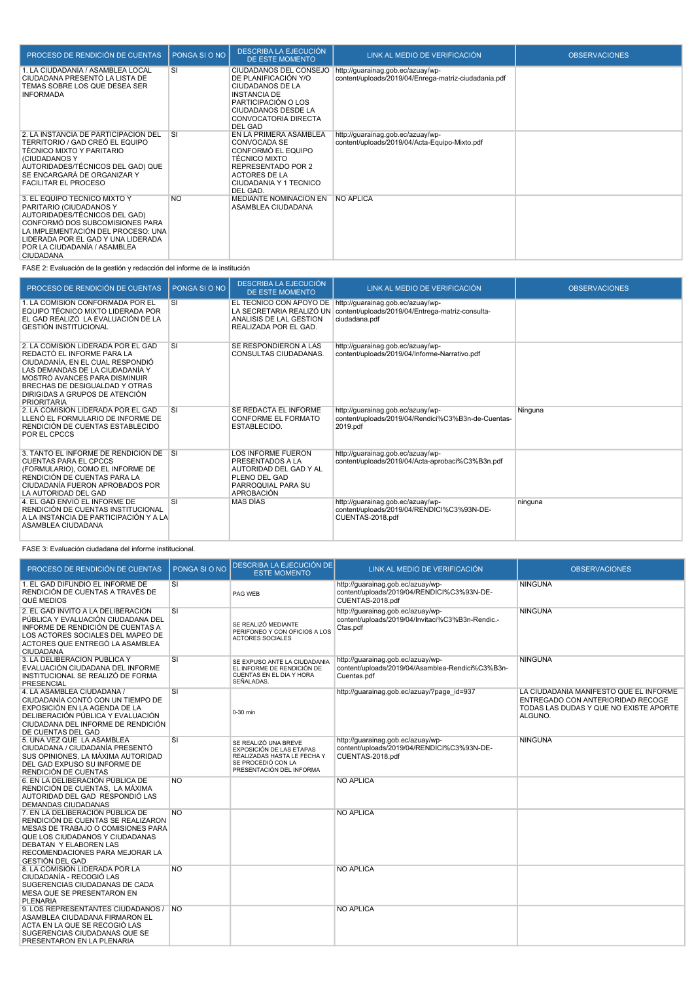| PROCESO DE RENDICIÓN DE CUENTAS                                                                                                                                                                                                                      | PONGA SI O NO | <b>DESCRIBA LA EJECUCIÓN</b><br><b>DE ESTE MOMENTO</b>                                                                                                                            | LINK AL MEDIO DE VERIFICACIÓN                                                             | <b>OBSERVACIONES</b> |
|------------------------------------------------------------------------------------------------------------------------------------------------------------------------------------------------------------------------------------------------------|---------------|-----------------------------------------------------------------------------------------------------------------------------------------------------------------------------------|-------------------------------------------------------------------------------------------|----------------------|
| 1. LA CIUDADANÍA / ASAMBLEA LOCAL<br>CIUDADANA PRESENTÓ LA LISTA DE<br>TEMAS SOBRE LOS QUE DESEA SER<br><b>INFORMADA</b>                                                                                                                             | <b>SI</b>     | CIUDADANOS DEL CONSEJO<br>DE PLANIFICACIÓN Y/O<br>CIUDADANOS DE LA<br><b>INSTANCIA DE</b><br>PARTICIPACIÓN O LOS<br><b>CIUDADANOS DESDE LA</b><br>CONVOCATORIA DIRECTA<br>DEL GAD | http://guarainag.gob.ec/azuay/wp-<br>content/uploads/2019/04/Enrega-matriz-ciudadania.pdf |                      |
| 2. LA INSTANCIA DE PARTICIPACIÓN DEL<br>TERRITORIO / GAD CREÓ EL EQUIPO<br>TÉCNICO MIXTO Y PARITARIO<br>(CIUDADANOS Y<br>AUTORIDADES/TÉCNICOS DEL GAD) QUE<br>SE ENCARGARÁ DE ORGANIZAR Y<br><b>FACILITAR EL PROCESO</b>                             | <b>SI</b>     | EN LA PRIMERA ASAMBLEA<br>CONVOCADA SE<br>CONFORMÓ EL EQUIPO<br><b>TÉCNICO MIXTO</b><br>REPRESENTADO POR 2<br><b>ACTORES DE LA</b><br>CIUDADANIA Y 1 TECNICO<br>DEL GAD.          | http://quarainag.gob.ec/azuay/wp-<br>content/uploads/2019/04/Acta-Equipo-Mixto.pdf        |                      |
| 3. EL EQUIPO TÉCNICO MIXTO Y<br>PARITARIO (CIUDADANOS Y<br>AUTORIDADES/TÉCNICOS DEL GAD)<br>CONFORMÓ DOS SUBCOMISIONES PARA<br>LA IMPLEMENTACIÓN DEL PROCESO: UNA<br>LIDERADA POR EL GAD Y UNA LIDERADA<br>POR LA CIUDADANÍA / ASAMBLEA<br>CIUDADANA | <b>NO</b>     | MEDIANTE NOMINACION EN<br>ASAMBLEA CIUDADANA                                                                                                                                      | <b>NO APLICA</b>                                                                          |                      |

FASE 2: Evaluación de la gestión y redacción del informe de la institución

| PROCESO DE RENDICIÓN DE CUENTAS                                                                                                                                                                                                                                    | PONGA SI O NO | <b>DESCRIBA LA EJECUCIÓN</b><br>DE ESTE MOMENTO                                                                                     | LINK AL MEDIO DE VERIFICACIÓN                                                                          | <b>OBSERVACIONES</b> |
|--------------------------------------------------------------------------------------------------------------------------------------------------------------------------------------------------------------------------------------------------------------------|---------------|-------------------------------------------------------------------------------------------------------------------------------------|--------------------------------------------------------------------------------------------------------|----------------------|
| 1. LA COMISIÓN CONFORMADA POR EL<br>EQUIPO TÉCNICO MIXTO LIDERADA POR<br>EL GAD REALIZÓ LA EVALUACIÓN DE LA<br><b>GESTIÓN INSTITUCIONAL</b>                                                                                                                        | SI            | EL TECNICO CON APOYO DE<br>LA SECRETARIA REALIZÓ UN<br>ANALISIS DE LAL GESTION<br>REALIZADA POR EL GAD.                             | http://guarainag.gob.ec/azuay/wp-<br>content/uploads/2019/04/Entrega-matriz-consulta-<br>ciudadana.pdf |                      |
| 2. LA COMISIÓN LIDERADA POR EL GAD<br>REDACTÓ EL INFORME PARA LA<br>CIUDADANÍA, EN EL CUAL RESPONDIÓ<br>LAS DEMANDAS DE LA CIUDADANÍA Y<br>MOSTRÓ AVANCES PARA DISMINUIR<br>BRECHAS DE DESIGUALDAD Y OTRAS<br>DIRIGIDAS A GRUPOS DE ATENCIÓN<br><b>PRIORITARIA</b> | SI            | SE RESPONDIERON A LAS<br><b>CONSULTAS CIUDADANAS.</b>                                                                               | http://guarainag.gob.ec/azuay/wp-<br>content/uploads/2019/04/Informe-Narrativo.pdf                     |                      |
| 2. LA COMISIÓN LIDERADA POR EL GAD<br>LLENÓ EL FORMULARIO DE INFORME DE<br>RENDICIÓN DE CUENTAS ESTABLECIDO<br>POR EL CPCCS                                                                                                                                        | <b>SI</b>     | SE REDACTA EL INFORME<br>CONFORME EL FORMATO<br>ESTABLECIDO.                                                                        | http://guarainag.gob.ec/azuay/wp-<br>content/uploads/2019/04/Rendici%C3%B3n-de-Cuentas-<br>2019.pdf    | Ninguna              |
| 3. TANTO EL INFORME DE RENDICIÓN DE<br><b>CUENTAS PARA EL CPCCS</b><br>(FORMULARIO), COMO EL INFORME DE<br>RENDICIÓN DE CUENTAS PARA LA<br>CIUDADANÍA FUERON APROBADOS POR<br>LA AUTORIDAD DEL GAD                                                                 | <b>SI</b>     | <b>LOS INFORME FUERON</b><br><b>PRESENTADOS A LA</b><br>AUTORIDAD DEL GAD Y AL<br>PLENO DEL GAD<br>PARROQUIAL PARA SU<br>APROBACIÓN | http://guarainag.gob.ec/azuay/wp-<br>content/uploads/2019/04/Acta-aprobaci%C3%B3n.pdf                  |                      |
| 4. EL GAD ENVIO EL INFORME DE<br>RENDICIÓN DE CUENTAS INSTITUCIONAL<br>A LA INSTANCIA DE PARTICIPACIÓN Y A LA<br>ASAMBLEA CIUDADANA                                                                                                                                | SI            | <b>MAS DIAS</b>                                                                                                                     | http://guarainag.gob.ec/azuay/wp-<br>content/uploads/2019/04/RENDICI%C3%93N-DE-<br>CUENTAS-2018.pdf    | ninguna              |

FASE 3: Evaluación ciudadana del informe institucional.

| PROCESO DE RENDICIÓN DE CUENTAS                                                                                                                                                                                                               | PONGA SI O NO | <b>DESCRIBA LA EJECUCIÓN DE</b><br><b>ESTE MOMENTO</b>                                                                            | LINK AL MEDIO DE VERIFICACIÓN                                                                        | <b>OBSERVACIONES</b>                                                                                                             |
|-----------------------------------------------------------------------------------------------------------------------------------------------------------------------------------------------------------------------------------------------|---------------|-----------------------------------------------------------------------------------------------------------------------------------|------------------------------------------------------------------------------------------------------|----------------------------------------------------------------------------------------------------------------------------------|
| 1. EL GAD DIFUNDIO EL INFORME DE<br>RENDICIÓN DE CUENTAS A TRAVÉS DE<br>QUÉ MEDIOS                                                                                                                                                            | SI            | PAG WEB                                                                                                                           | http://quarainag.gob.ec/azuay/wp-<br>content/uploads/2019/04/RENDICI%C3%93N-DE-<br>CUENTAS-2018.pdf  | <b>NINGUNA</b>                                                                                                                   |
| 2. EL GAD INVITO A LA DELIBERACIÓN<br>PÚBLICA Y EVALUACIÓN CIUDADANA DEL<br>INFORME DE RENDICIÓN DE CUENTAS A<br>LOS ACTORES SOCIALES DEL MAPEO DE<br>ACTORES QUE ENTREGÓ LA ASAMBLEA<br><b>CIUDADANA</b>                                     | SI            | SE REALIZÓ MEDIANTE<br>PERIFONEO Y CON OFICIOS A LOS<br><b>ACTORES SOCIALES</b>                                                   | http://guarainag.gob.ec/azuay/wp-<br>content/uploads/2019/04/Invitaci%C3%B3n-Rendic.-<br>Ctas.pdf    | <b>NINGUNA</b>                                                                                                                   |
| 3. LA DELIBERACIÓN PÚBLICA Y<br>EVALUACIÓN CIUDADANA DEL INFORME<br>INSTITUCIONAL SE REALIZÓ DE FORMA<br><b>PRESENCIAL</b>                                                                                                                    | SI            | SE EXPUSO ANTE LA CIUDADANIA<br>EL INFORME DE RENDICIÓN DE<br>CUENTAS EN EL DIA Y HORA<br>SEÑALADAS.                              | http://guarainag.gob.ec/azuay/wp-<br>content/uploads/2019/04/Asamblea-Rendici%C3%B3n-<br>Cuentas.pdf | <b>NINGUNA</b>                                                                                                                   |
| 4. LA ASAMBLEA CIUDADANA /<br>CIUDADANÍA CONTÓ CON UN TIEMPO DE<br>EXPOSICIÓN EN LA AGENDA DE LA<br>DELIBERACIÓN PÚBLICA Y EVALUACIÓN<br>CIUDADANA DEL INFORME DE RENDICIÓN<br>DE CUENTAS DEL GAD                                             | <b>SI</b>     | 0-30 min                                                                                                                          | http://quarainag.gob.ec/azuay/?page_id=937                                                           | LA CIUDADANÍA MANIFESTÓ QUE EL INFORME<br>ENTREGADO CON ANTERIORIDAD RECOGE<br>TODAS LAS DUDAS Y QUE NO EXISTE APORTE<br>ALGUNO. |
| 5. UNA VEZ QUE LA ASAMBLEA<br>CIUDADANA / CIUDADANÍA PRESENTÓ<br>SUS OPINIONES. LA MÁXIMA AUTORIDAD<br>DEL GAD EXPUSO SU INFORME DE<br>RENDICIÓN DE CUENTAS                                                                                   | SI            | SE REALIZÓ UNA BREVE<br>EXPOSICIÓN DE LAS ETAPAS<br>REALIZADAS HASTA LE FECHA Y<br>SE PROCEDIÓ CON LA<br>PRESENTACIÓN DEL INFORMA | http://guarainag.gob.ec/azuay/wp-<br>content/uploads/2019/04/RENDICI%C3%93N-DE-<br>CUENTAS-2018.pdf  | <b>NINGUNA</b>                                                                                                                   |
| 6. EN LA DELIBERACIÓN PÚBLICA DE<br>RENDICIÓN DE CUENTAS, LA MÁXIMA<br>AUTORIDAD DEL GAD RESPONDIÓ LAS<br>DEMANDAS CIUDADANAS                                                                                                                 | <b>NO</b>     |                                                                                                                                   | <b>NO APLICA</b>                                                                                     |                                                                                                                                  |
| 7. EN LA DELIBERACIÓN PÚBLICA DE<br>RENDICIÓN DE CUENTAS SE REALIZARON<br><b>MESAS DE TRABAJO O COMISIONES PARA</b><br>QUE LOS CIUDADANOS Y CIUDADANAS<br>DEBATAN Y ELABOREN LAS<br>RECOMENDACIONES PARA MEJORAR LA<br><b>GESTIÓN DEL GAD</b> | <b>NO</b>     |                                                                                                                                   | <b>NO APLICA</b>                                                                                     |                                                                                                                                  |
| 8. LA COMISIÓN LIDERADA POR LA<br>CIUDADANÍA - RECOGIÓ LAS<br>SUGERENCIAS CIUDADANAS DE CADA<br><b>MESA QUE SE PRESENTARON EN</b><br><b>PLENARIA</b>                                                                                          | <b>NO</b>     |                                                                                                                                   | <b>NO APLICA</b>                                                                                     |                                                                                                                                  |
| 9. LOS REPRESENTANTES CIUDADANOS / NO<br>ASAMBLEA CIUDADANA FIRMARON EL<br>ACTA EN LA QUE SE RECOGIÓ LAS<br>SUGERENCIAS CIUDADANAS QUE SE<br>PRESENTARON EN LA PLENARIA                                                                       |               |                                                                                                                                   | <b>NO APLICA</b>                                                                                     |                                                                                                                                  |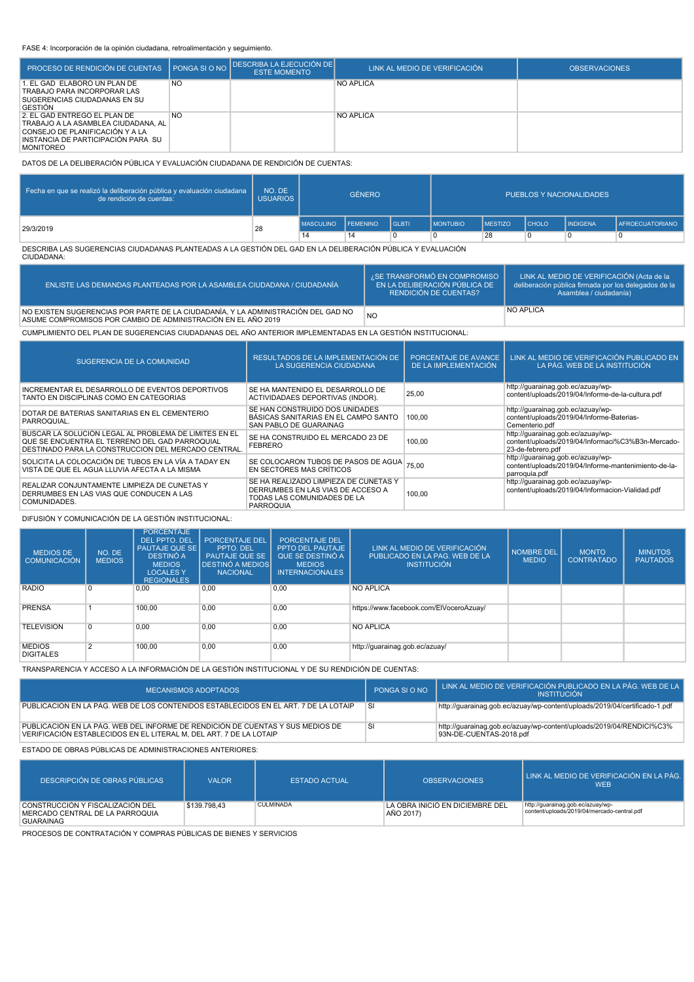#### FASE 4: Incorporación de la opinión ciudadana, retroalimentación y seguimiento.

| PROCESO DE RENDICIÓN DE CUENTAS   PONGA SI O NO                                                                                                                    |           | <b>I DESCRIBA LA EJECUCIÓN DE</b><br><b>ESTE MOMENTO</b> | LINK AL MEDIO DE VERIFICACIÓN | <b>OBSERVACIONES</b> |
|--------------------------------------------------------------------------------------------------------------------------------------------------------------------|-----------|----------------------------------------------------------|-------------------------------|----------------------|
| 1. EL GAD ELABORÓ UN PLAN DE<br>TRABAJO PARA INCORPORAR LAS<br>SUGERENCIAS CIUDADANAS EN SU<br><b>GESTION</b>                                                      | <b>NO</b> |                                                          | <b>NO APLICA</b>              |                      |
| 2. EL GAD ENTREGÓ EL PLAN DE<br>TRABAJO A LA ASAMBLEA CIUDADANA. AL I<br>CONSEJO DE PLANIFICACIÓN Y A LA<br>INSTANCIA DE PARTICIPACIÓN PARA SU<br><b>MONITOREO</b> | <b>NO</b> |                                                          | NO APLICA                     |                      |

DATOS DE LA DELIBERACIÓN PÚBLICA Y EVALUACIÓN CIUDADANA DE RENDICIÓN DE CUENTAS:

| Fecha en que se realizó la deliberación pública y evaluación ciudadana<br>de rendición de cuentas: | NO. DE<br><b>USUARIOS</b> | <b>GÉNERO</b>    |                 |                | PUEBLOS Y NACIONALIDADES |                |              |                 |                        |  |
|----------------------------------------------------------------------------------------------------|---------------------------|------------------|-----------------|----------------|--------------------------|----------------|--------------|-----------------|------------------------|--|
| 29/3/2019                                                                                          | 28                        | <b>MASCULINO</b> | <b>FEMENINO</b> | <b>I</b> GLBTI | <b>IMONTUBIO</b>         | <b>MESTIZO</b> | <b>CHOLO</b> | <b>INDIGENA</b> | <b>AFROECUATORIANO</b> |  |
|                                                                                                    |                           | 14               | 14              | $\Omega$       |                          | 28             |              |                 |                        |  |

DESCRIBA LAS SUGERENCIAS CIUDADANAS PLANTEADAS A LA GESTIÓN DEL GAD EN LA DELIBERACIÓN PÚBLICA Y EVALUACIÓN CIUDADANA:

| ENLISTE LAS DEMANDAS PLANTEADAS POR LA ASAMBLEA CIUDADANA / CIUDADANÍA                                                                             | ¿SE TRANSFORMÓ EN COMPROMISO<br>EN LA DELIBERACIÓN PÚBLICA DE<br><b>RENDICIÓN DE CUENTAS?</b> | LINK AL MEDIO DE VERIFICACIÓN (Acta de la<br>deliberación pública firmada por los delegados de la<br>Asamblea / ciudadanía) |
|----------------------------------------------------------------------------------------------------------------------------------------------------|-----------------------------------------------------------------------------------------------|-----------------------------------------------------------------------------------------------------------------------------|
| NO EXISTEN SUGERENCIAS POR PARTE DE LA CIUDADANÍA, Y LA ADMINISTRACIÓN DEL GAD NO<br>ASUME COMPROMISOS POR CAMBIO DE ADMINISTRACIÓN EN EL AÑO 2019 | <b>NO</b>                                                                                     | <b>NO APLICA</b>                                                                                                            |

CUMPLIMIENTO DEL PLAN DE SUGERENCIAS CIUDADANAS DEL AÑO ANTERIOR IMPLEMENTADAS EN LA GESTIÓN INSTITUCIONAL:

| <b>SUGERENCIA DE LA COMUNIDAD</b>                                                                                                                              | RESULTADOS DE LA IMPLEMENTACIÓN DE<br>LA SUGERENCIA CIUDADANA                                                                 | PORCENTAJE DE AVANCE<br>DE LA IMPLEMENTACIÓN | LINK AL MEDIO DE VERIFICACIÓN PUBLICADO EN<br>LA PÁG. WEB DE LA INSTITUCIÓN                                 |
|----------------------------------------------------------------------------------------------------------------------------------------------------------------|-------------------------------------------------------------------------------------------------------------------------------|----------------------------------------------|-------------------------------------------------------------------------------------------------------------|
| INCREMENTAR EL DESARROLLO DE EVENTOS DEPORTIVOS<br>TANTO EN DISCIPLINAS COMO EN CATEGORIAS                                                                     | SE HA MANTENIDO EL DESARROLLO DE<br>ACTIVIDADAES DEPORTIVAS (INDOR).                                                          | 25,00                                        | http://quarainag.gob.ec/azuay/wp-<br>content/uploads/2019/04/Informe-de-la-cultura.pdf                      |
| DOTAR DE BATERIAS SANITARIAS EN EL CEMENTERIO<br>PARROQUIAL.                                                                                                   | SE HAN CONSTRUIDO DOS UNIDADES<br>BÁSICAS SANITARIAS EN EL CAMPO SANTO<br>SAN PABLO DE GUARAINAG                              | 100.00                                       | http://quarainag.gob.ec/azuay/wp-<br>content/uploads/2019/04/Informe-Baterias-<br>Cementerio.pdf            |
| BUSCAR LA SOLUCIÓN LEGAL AL PROBLEMA DE LIMITES EN EL<br>QUE SE ENCUENTRA EL TERRENO DEL GAD PARROQUIAL<br>DESTINADO PARA LA CONSTRUCCION DEL MERCADO CENTRAL. | SE HA CONSTRUIDO EL MERCADO 23 DE<br><b>FEBRERO</b>                                                                           | 100.00                                       | http://guarainag.gob.ec/azuay/wp-<br>content/uploads/2019/04/Informaci%C3%B3n-Mercado-<br>23-de-febrero.pdf |
| SOLICITA LA COLOCACIÓN DE TUBOS EN LA VÍA A TADAY EN<br>VISTA DE QUE EL AGUA LLUVIA AFECTA A LA MISMA                                                          | SE COLOCARON TUBOS DE PASOS DE AGUA<br>EN SECTORES MAS CRÍTICOS                                                               | 75.00                                        | http://quarainag.gob.ec/azuay/wp-<br>content/uploads/2019/04/Informe-mantenimiento-de-la-<br>parroquia.pdf  |
| REALIZAR CONJUNTAMENTE LIMPIEZA DE CUNETAS Y<br>DERRUMBES EN LAS VIAS QUE CONDUCEN A LAS<br>COMUNIDADES.                                                       | SE HA REALIZADO LIMPIEZA DE CUNETAS Y<br>DERRUMBES EN LAS VIAS DE ACCESO A<br>TODAS LAS COMUNIDADES DE LA<br><b>PARROQUIA</b> | 100.00                                       | http://quarainag.gob.ec/azuay/wp-<br>content/uploads/2019/04/Informacion-Vialidad.pdf                       |

DIFUSIÓN Y COMUNICACIÓN DE LA GESTIÓN INSTITUCIONAL:

| <b>MEDIOS DE</b><br>COMUNICACIÓN  | NO. DE<br><b>MEDIOS</b> | <b>PORCENTAJE</b><br><b>DEL PPTO, DEL</b><br><b>PAUTAJE QUE SE</b><br>DESTINÓ A<br><b>MEDIOS</b><br><b>LOCALES Y</b><br><b>REGIONALES</b> | <b>PORCENTAJE DEL</b><br>PPTO. DEL<br><b>PAUTAJE QUE SE</b><br><b>DESTINÓ A MEDIOS</b><br><b>NACIONAL</b> | PORCENTAJE DEL<br><b>PPTO DEL PAUTAJE</b><br>QUE SE DESTINÓ A<br><b>MEDIOS</b><br><b>INTERNACIONALES</b> | LINK AL MEDIO DE VERIFICACIÓN<br>PUBLICADO EN LA PAG. WEB DE LA<br><b>INSTITUCIÓN</b> | <b>NOMBRE DEL</b><br><b>MEDIO</b> | <b>MONTO</b><br><b>CONTRATADO</b> | <b>MINUTOS</b><br><b>PAUTADOS</b> |
|-----------------------------------|-------------------------|-------------------------------------------------------------------------------------------------------------------------------------------|-----------------------------------------------------------------------------------------------------------|----------------------------------------------------------------------------------------------------------|---------------------------------------------------------------------------------------|-----------------------------------|-----------------------------------|-----------------------------------|
| <b>RADIO</b>                      | 0 I                     | 0,00                                                                                                                                      | 0,00                                                                                                      | 0,00                                                                                                     | <b>NO APLICA</b>                                                                      |                                   |                                   |                                   |
| <b>PRENSA</b>                     |                         | 100.00                                                                                                                                    | 0.00                                                                                                      | 0,00                                                                                                     | https://www.facebook.com/EIVoceroAzuay/                                               |                                   |                                   |                                   |
| <b>TELEVISION</b>                 | $\Omega$                | 0,00                                                                                                                                      | 0.00                                                                                                      | 0.00                                                                                                     | <b>NO APLICA</b>                                                                      |                                   |                                   |                                   |
| <b>MEDIOS</b><br><b>DIGITALES</b> | $\overline{2}$          | 100,00                                                                                                                                    | 0,00                                                                                                      | 0,00                                                                                                     | http://guarainag.gob.ec/azuay/                                                        |                                   |                                   |                                   |

TRANSPARENCIA Y ACCESO A LA INFORMACIÓN DE LA GESTIÓN INSTITUCIONAL Y DE SU RENDICIÓN DE CUENTAS:

| MECANISMOS ADOPTADOS                                                                                                                                 | PONGA SLO NO | LINK AL MEDIO DE VERIFICACIÓN PUBLICADO EN LA PÁG. WEB DE LA<br><b>INSTITUCIÓN</b>              |
|------------------------------------------------------------------------------------------------------------------------------------------------------|--------------|-------------------------------------------------------------------------------------------------|
| PUBLICACIÓN EN LA PÁG. WEB DE LOS CONTENIDOS ESTABLECIDOS EN EL ART. 7 DE LA LOTAIP                                                                  | <b>SI</b>    | http://quarainag.gob.ec/azuay/wp-content/uploads/2019/04/certificado-1.pdf                      |
| PUBLICACIÓN EN LA PÁG. WEB DEL INFORME DE RENDICIÓN DE CUENTAS Y SUS MEDIOS DE<br>VERIFICACIÓN ESTABLECIDOS EN EL LITERAL M. DEL ART. 7 DE LA LOTAIP | SI           | http://guarainag.gob.ec/azuay/wp-content/uploads/2019/04/RENDICI%C3%<br>93N-DE-CUENTAS-2018.pdf |

ESTADO DE OBRAS PÚBLICAS DE ADMINISTRACIONES ANTERIORES:

| DESCRIPCIÓN DE OBRAS PÚBLICAS.                                                          | <b>VALOR</b> | <b>ESTADO ACTUAL</b> | <b>OBSERVACIONES</b>                         | LINK AL MEDIO DE VERIFICACIÓN EN LA PÁG.<br><b>WEB</b>                           |
|-----------------------------------------------------------------------------------------|--------------|----------------------|----------------------------------------------|----------------------------------------------------------------------------------|
| CONSTRUCCIÓN Y FISCALIZACIÓN DEL<br>MERCADO CENTRAL DE LA PARROQUIA<br><b>GUARAINAG</b> | \$139,798.43 | <b>CULMINADA</b>     | LA OBRA INICIÓ EN DICIEMBRE DEL<br>AÑO 2017) | http://guarainag.gob.ec/azuay/wp-<br>content/uploads/2019/04/mercado-central.pdf |

PROCESOS DE CONTRATACIÓN Y COMPRAS PÚBLICAS DE BIENES Y SERVICIOS